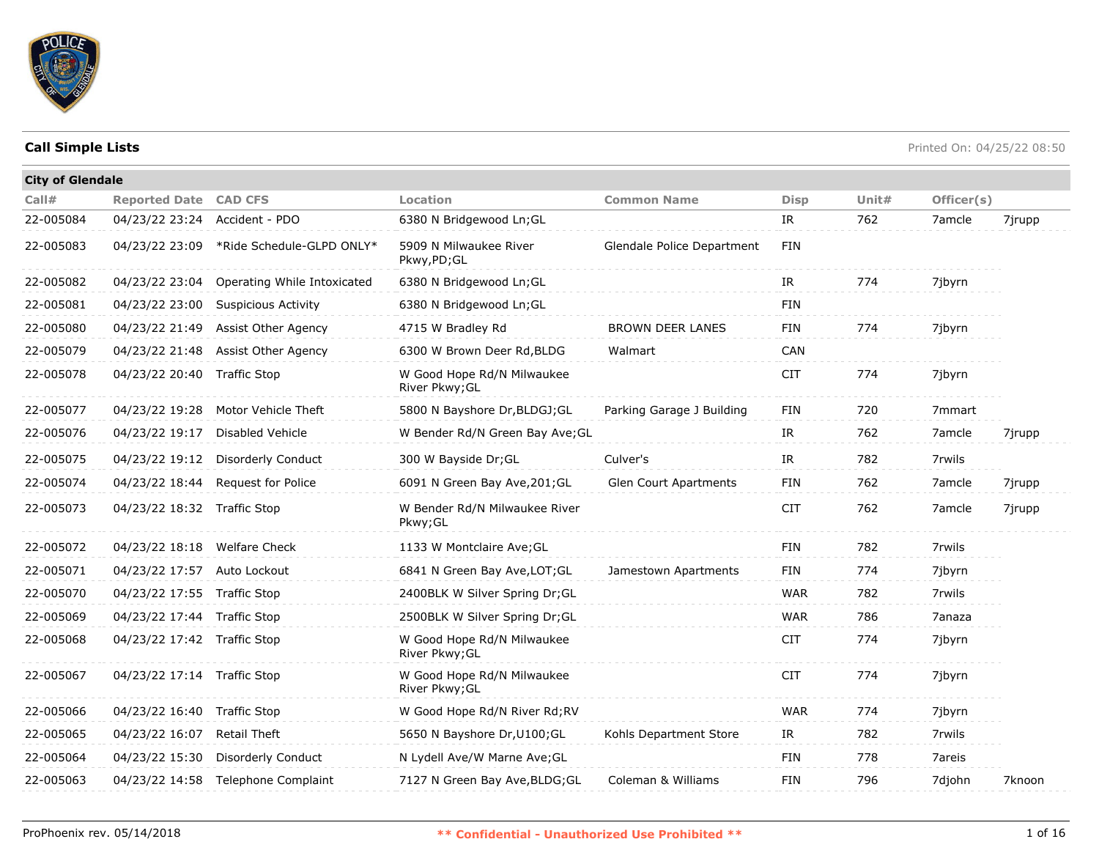

| <b>City of Glendale</b> |                              |                                          |                                              |                            |             |       |            |        |
|-------------------------|------------------------------|------------------------------------------|----------------------------------------------|----------------------------|-------------|-------|------------|--------|
| Call#                   | <b>Reported Date CAD CFS</b> |                                          | <b>Location</b>                              | <b>Common Name</b>         | <b>Disp</b> | Unit# | Officer(s) |        |
| 22-005084               | 04/23/22 23:24               | Accident - PDO                           | 6380 N Bridgewood Ln; GL                     |                            | IR          | 762   | 7amcle     | 7jrupp |
| 22-005083               |                              | 04/23/22 23:09 *Ride Schedule-GLPD ONLY* | 5909 N Milwaukee River<br>Pkwy,PD;GL         | Glendale Police Department | <b>FIN</b>  |       |            |        |
| 22-005082               | 04/23/22 23:04               | Operating While Intoxicated              | 6380 N Bridgewood Ln;GL                      |                            | IR          | 774   | 7jbyrn     |        |
| 22-005081               | 04/23/22 23:00               | <b>Suspicious Activity</b>               | 6380 N Bridgewood Ln; GL                     |                            | <b>FIN</b>  |       |            |        |
| 22-005080               | 04/23/22 21:49               | Assist Other Agency                      | 4715 W Bradley Rd                            | <b>BROWN DEER LANES</b>    | <b>FIN</b>  | 774   | 7jbyrn     |        |
| 22-005079               | 04/23/22 21:48               | Assist Other Agency                      | 6300 W Brown Deer Rd, BLDG                   | Walmart                    | CAN         |       |            |        |
| 22-005078               | 04/23/22 20:40               | Traffic Stop                             | W Good Hope Rd/N Milwaukee<br>River Pkwy; GL |                            | <b>CIT</b>  | 774   | 7jbyrn     |        |
| 22-005077               | 04/23/22 19:28               | Motor Vehicle Theft                      | 5800 N Bayshore Dr, BLDGJ; GL                | Parking Garage J Building  | <b>FIN</b>  | 720   | 7mmart     |        |
| 22-005076               | 04/23/22 19:17               | <b>Disabled Vehicle</b>                  | W Bender Rd/N Green Bay Ave; GL              |                            | IR          | 762   | 7amcle     | 7jrupp |
| 22-005075               | 04/23/22 19:12               | Disorderly Conduct                       | 300 W Bayside Dr; GL                         | Culver's                   | IR          | 782   | 7rwils     |        |
| 22-005074               | 04/23/22 18:44               | Request for Police                       | 6091 N Green Bay Ave, 201; GL                | Glen Court Apartments      | FIN         | 762   | 7amcle     | 7jrupp |
| 22-005073               | 04/23/22 18:32 Traffic Stop  |                                          | W Bender Rd/N Milwaukee River<br>Pkwy;GL     |                            | <b>CIT</b>  | 762   | 7amcle     | 7jrupp |
| 22-005072               | 04/23/22 18:18 Welfare Check |                                          | 1133 W Montclaire Ave; GL                    |                            | <b>FIN</b>  | 782   | 7rwils     |        |
| 22-005071               | 04/23/22 17:57               | Auto Lockout                             | 6841 N Green Bay Ave, LOT; GL                | Jamestown Apartments       | <b>FIN</b>  | 774   | 7jbyrn     |        |
| 22-005070               | 04/23/22 17:55 Traffic Stop  |                                          | 2400BLK W Silver Spring Dr; GL               |                            | <b>WAR</b>  | 782   | 7rwils     |        |
| 22-005069               | 04/23/22 17:44 Traffic Stop  |                                          | 2500BLK W Silver Spring Dr; GL               |                            | <b>WAR</b>  | 786   | 7anaza     |        |
| 22-005068               | 04/23/22 17:42 Traffic Stop  |                                          | W Good Hope Rd/N Milwaukee<br>River Pkwy; GL |                            | <b>CIT</b>  | 774   | 7jbyrn     |        |
| 22-005067               | 04/23/22 17:14 Traffic Stop  |                                          | W Good Hope Rd/N Milwaukee<br>River Pkwy; GL |                            | <b>CIT</b>  | 774   | 7jbyrn     |        |
| 22-005066               | 04/23/22 16:40 Traffic Stop  |                                          | W Good Hope Rd/N River Rd;RV                 |                            | <b>WAR</b>  | 774   | 7jbyrn     |        |
| 22-005065               | 04/23/22 16:07               | Retail Theft                             | 5650 N Bayshore Dr, U100; GL                 | Kohls Department Store     | IR          | 782   | 7rwils     |        |
| 22-005064               | 04/23/22 15:30               | Disorderly Conduct                       | N Lydell Ave/W Marne Ave; GL                 |                            | FIN         | 778   | 7areis     |        |
| 22-005063               | 04/23/22 14:58               | Telephone Complaint                      | 7127 N Green Bay Ave, BLDG; GL               | Coleman & Williams         | FIN         | 796   | 7djohn     | 7knoon |
|                         |                              |                                          |                                              |                            |             |       |            |        |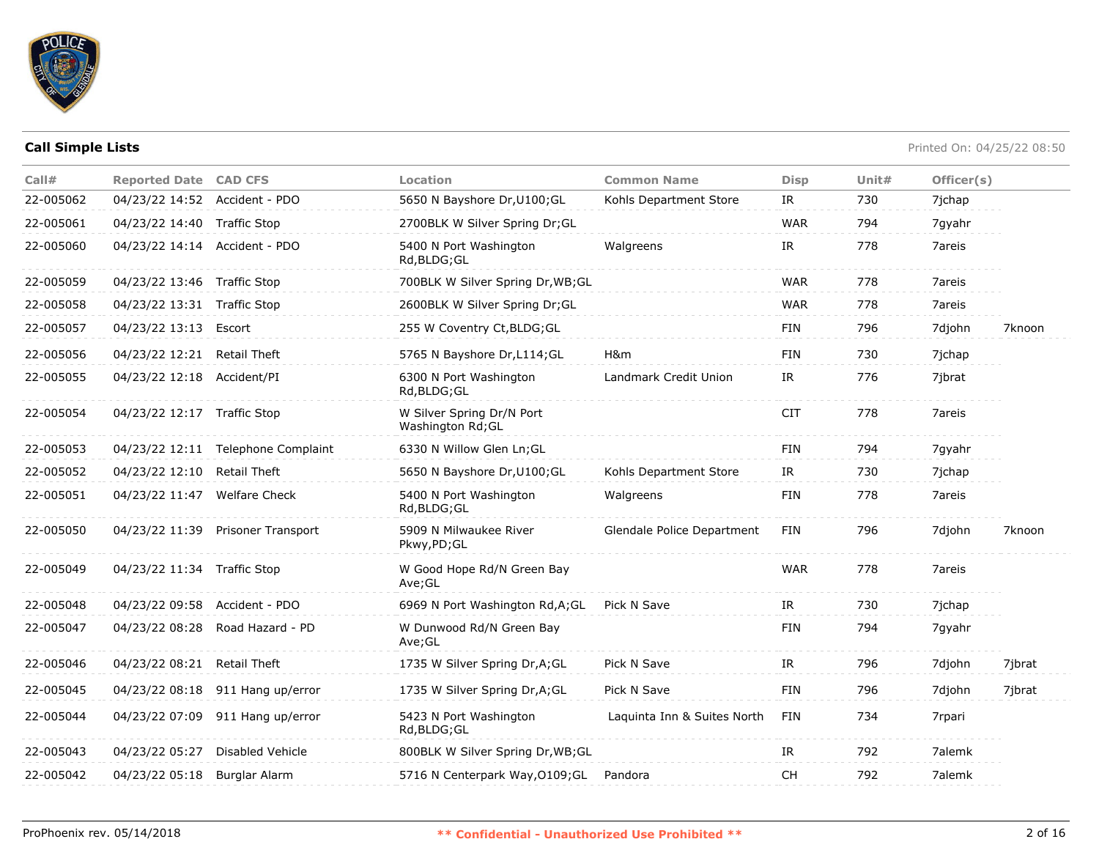

| Call#     | <b>Reported Date CAD CFS</b>  |                                    | Location                                       | <b>Common Name</b>          | <b>Disp</b> | Unit# | Officer(s) |        |
|-----------|-------------------------------|------------------------------------|------------------------------------------------|-----------------------------|-------------|-------|------------|--------|
| 22-005062 | 04/23/22 14:52 Accident - PDO |                                    | 5650 N Bayshore Dr, U100; GL                   | Kohls Department Store      | IR          | 730   | 7jchap     |        |
| 22-005061 | 04/23/22 14:40 Traffic Stop   |                                    | 2700BLK W Silver Spring Dr;GL                  |                             | <b>WAR</b>  | 794   | 7gyahr     |        |
| 22-005060 | 04/23/22 14:14 Accident - PDO |                                    | 5400 N Port Washington<br>Rd, BLDG; GL         | Walgreens                   | IR          | 778   | 7areis     |        |
| 22-005059 | 04/23/22 13:46 Traffic Stop   |                                    | 700BLK W Silver Spring Dr, WB; GL              |                             | <b>WAR</b>  | 778   | 7areis     |        |
| 22-005058 | 04/23/22 13:31 Traffic Stop   |                                    | 2600BLK W Silver Spring Dr;GL                  |                             | <b>WAR</b>  | 778   | 7areis     |        |
| 22-005057 | 04/23/22 13:13 Escort         |                                    | 255 W Coventry Ct, BLDG; GL                    |                             | <b>FIN</b>  | 796   | 7djohn     | 7knoon |
| 22-005056 | 04/23/22 12:21                | <b>Retail Theft</b>                | 5765 N Bayshore Dr, L114; GL                   | H&m                         | <b>FIN</b>  | 730   | 7jchap     |        |
| 22-005055 | 04/23/22 12:18 Accident/PI    |                                    | 6300 N Port Washington<br>Rd, BLDG; GL         | Landmark Credit Union       | IR          | 776   | 7jbrat     |        |
| 22-005054 | 04/23/22 12:17 Traffic Stop   |                                    | W Silver Spring Dr/N Port<br>Washington Rd; GL |                             | <b>CIT</b>  | 778   | 7areis     |        |
| 22-005053 |                               | 04/23/22 12:11 Telephone Complaint | 6330 N Willow Glen Ln; GL                      |                             | <b>FIN</b>  | 794   | 7gyahr     |        |
| 22-005052 | 04/23/22 12:10                | <b>Retail Theft</b>                | 5650 N Bayshore Dr, U100; GL                   | Kohls Department Store      | IR          | 730   | 7jchap     |        |
| 22-005051 | 04/23/22 11:47                | <b>Welfare Check</b>               | 5400 N Port Washington<br>Rd, BLDG; GL         | Walgreens                   | <b>FIN</b>  | 778   | 7areis     |        |
| 22-005050 |                               | 04/23/22 11:39 Prisoner Transport  | 5909 N Milwaukee River<br>Pkwy, PD; GL         | Glendale Police Department  | FIN         | 796   | 7djohn     | 7knoon |
| 22-005049 | 04/23/22 11:34 Traffic Stop   |                                    | W Good Hope Rd/N Green Bay<br>Ave;GL           |                             | <b>WAR</b>  | 778   | 7areis     |        |
| 22-005048 | 04/23/22 09:58 Accident - PDO |                                    | 6969 N Port Washington Rd, A; GL               | Pick N Save                 | IR          | 730   | 7jchap     |        |
| 22-005047 | 04/23/22 08:28                | Road Hazard - PD                   | W Dunwood Rd/N Green Bay<br>Ave;GL             |                             | <b>FIN</b>  | 794   | 7gyahr     |        |
| 22-005046 | 04/23/22 08:21 Retail Theft   |                                    | 1735 W Silver Spring Dr, A; GL                 | Pick N Save                 | IR          | 796   | 7djohn     | 7jbrat |
| 22-005045 |                               | 04/23/22 08:18 911 Hang up/error   | 1735 W Silver Spring Dr, A; GL                 | Pick N Save                 | <b>FIN</b>  | 796   | 7djohn     | 7jbrat |
| 22-005044 |                               | 04/23/22 07:09 911 Hang up/error   | 5423 N Port Washington<br>Rd, BLDG; GL         | Laquinta Inn & Suites North | <b>FIN</b>  | 734   | 7rpari     |        |
| 22-005043 | 04/23/22 05:27                | Disabled Vehicle                   | 800BLK W Silver Spring Dr, WB; GL              |                             | IR          | 792   | 7alemk     |        |
| 22-005042 | 04/23/22 05:18                | Burglar Alarm                      | 5716 N Centerpark Way, 0109; GL                | Pandora                     | <b>CH</b>   | 792   | 7alemk     |        |
|           |                               |                                    |                                                |                             |             |       |            |        |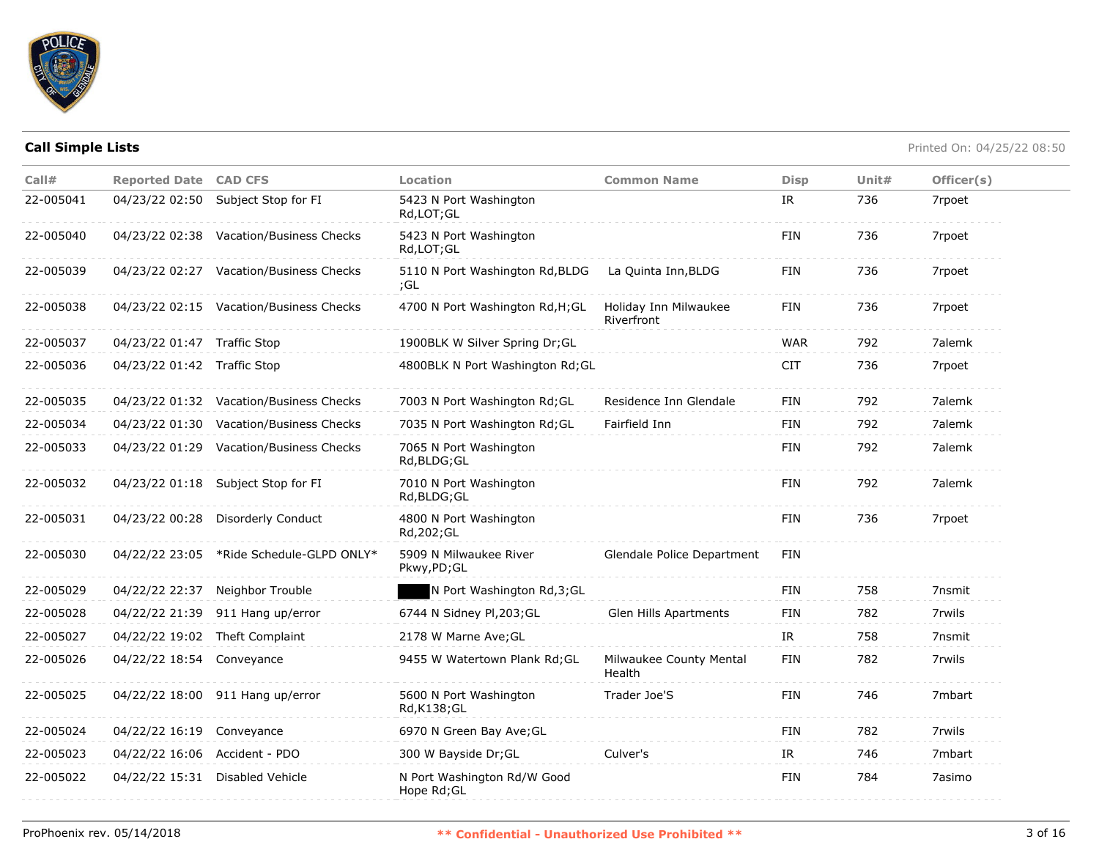

| Call#     | <b>Reported Date CAD CFS</b>  |                                          | <b>Location</b>                            | <b>Common Name</b>                  | <b>Disp</b> | Unit# | Officer(s) |
|-----------|-------------------------------|------------------------------------------|--------------------------------------------|-------------------------------------|-------------|-------|------------|
| 22-005041 |                               | 04/23/22 02:50 Subject Stop for FI       | 5423 N Port Washington<br>Rd,LOT;GL        |                                     | IR          | 736   | 7rpoet     |
| 22-005040 |                               | 04/23/22 02:38 Vacation/Business Checks  | 5423 N Port Washington<br>Rd,LOT;GL        |                                     | FIN         | 736   | 7rpoet     |
| 22-005039 |                               | 04/23/22 02:27 Vacation/Business Checks  | 5110 N Port Washington Rd, BLDG<br>;GL     | La Quinta Inn, BLDG                 | <b>FIN</b>  | 736   | 7rpoet     |
| 22-005038 |                               | 04/23/22 02:15 Vacation/Business Checks  | 4700 N Port Washington Rd, H; GL           | Holiday Inn Milwaukee<br>Riverfront | FIN         | 736   | 7rpoet     |
| 22-005037 | 04/23/22 01:47 Traffic Stop   |                                          | 1900BLK W Silver Spring Dr; GL             |                                     | <b>WAR</b>  | 792   | 7alemk     |
| 22-005036 | 04/23/22 01:42 Traffic Stop   |                                          | 4800BLK N Port Washington Rd; GL           |                                     | <b>CIT</b>  | 736   | 7rpoet     |
| 22-005035 |                               | 04/23/22 01:32 Vacation/Business Checks  | 7003 N Port Washington Rd; GL              | Residence Inn Glendale              | FIN         | 792   | 7alemk     |
| 22-005034 |                               | 04/23/22 01:30 Vacation/Business Checks  | 7035 N Port Washington Rd; GL              | Fairfield Inn                       | FIN         | 792   | 7alemk     |
| 22-005033 |                               | 04/23/22 01:29 Vacation/Business Checks  | 7065 N Port Washington<br>Rd, BLDG; GL     |                                     | FIN         | 792   | 7alemk     |
| 22-005032 |                               | 04/23/22 01:18 Subject Stop for FI       | 7010 N Port Washington<br>Rd, BLDG; GL     |                                     | FIN         | 792   | 7alemk     |
| 22-005031 |                               | 04/23/22 00:28 Disorderly Conduct        | 4800 N Port Washington<br>Rd, 202; GL      |                                     | FIN         | 736   | 7rpoet     |
| 22-005030 |                               | 04/22/22 23:05 *Ride Schedule-GLPD ONLY* | 5909 N Milwaukee River<br>Pkwy,PD;GL       | Glendale Police Department          | FIN         |       |            |
| 22-005029 |                               | 04/22/22 22:37 Neighbor Trouble          | N Port Washington Rd, 3; GL                |                                     | FIN         | 758   | 7nsmit     |
| 22-005028 |                               | 04/22/22 21:39 911 Hang up/error         | 6744 N Sidney Pl, 203; GL                  | Glen Hills Apartments               | FIN         | 782   | 7rwils     |
| 22-005027 |                               | 04/22/22 19:02 Theft Complaint           | 2178 W Marne Ave; GL                       |                                     | IR          | 758   | 7nsmit     |
| 22-005026 | 04/22/22 18:54 Conveyance     |                                          | 9455 W Watertown Plank Rd; GL              | Milwaukee County Mental<br>Health   | FIN         | 782   | 7rwils     |
| 22-005025 |                               | 04/22/22 18:00 911 Hang up/error         | 5600 N Port Washington<br>Rd, K138; GL     | Trader Joe'S                        | <b>FIN</b>  | 746   | 7mbart     |
| 22-005024 | 04/22/22 16:19 Conveyance     |                                          | 6970 N Green Bay Ave; GL                   |                                     | FIN         | 782   | 7rwils     |
| 22-005023 | 04/22/22 16:06 Accident - PDO |                                          | 300 W Bayside Dr; GL                       | Culver's                            | IR          | 746   | 7mbart     |
| 22-005022 |                               | 04/22/22 15:31 Disabled Vehicle          | N Port Washington Rd/W Good<br>Hope Rd; GL |                                     | <b>FIN</b>  | 784   | 7asimo     |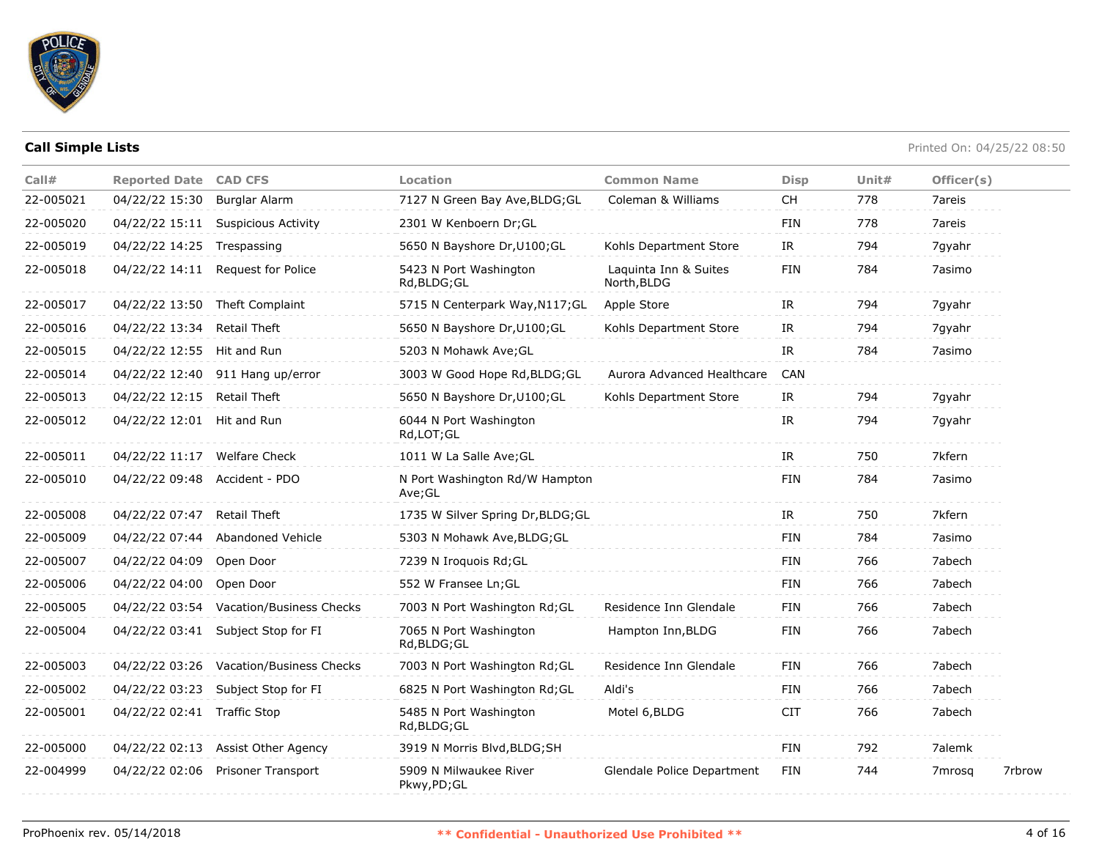

| Call#     | <b>Reported Date</b>         | <b>CAD CFS</b>                     | Location                                 | <b>Common Name</b>                   | <b>Disp</b> | Unit# | Officer(s) |        |
|-----------|------------------------------|------------------------------------|------------------------------------------|--------------------------------------|-------------|-------|------------|--------|
| 22-005021 | 04/22/22 15:30               | <b>Burglar Alarm</b>               | 7127 N Green Bay Ave, BLDG; GL           | Coleman & Williams                   | <b>CH</b>   | 778   | 7areis     |        |
| 22-005020 | 04/22/22 15:11               | <b>Suspicious Activity</b>         | 2301 W Kenboern Dr;GL                    |                                      | <b>FIN</b>  | 778   | 7areis     |        |
| 22-005019 | 04/22/22 14:25               | Trespassing                        | 5650 N Bayshore Dr, U100; GL             | Kohls Department Store               | IR          | 794   | 7gyahr     |        |
| 22-005018 | 04/22/22 14:11               | Request for Police                 | 5423 N Port Washington<br>Rd, BLDG; GL   | Laquinta Inn & Suites<br>North, BLDG | <b>FIN</b>  | 784   | 7asimo     |        |
| 22-005017 | 04/22/22 13:50               | Theft Complaint                    | 5715 N Centerpark Way, N117; GL          | Apple Store                          | IR          | 794   | 7gyahr     |        |
| 22-005016 | 04/22/22 13:34               | Retail Theft                       | 5650 N Bayshore Dr, U100; GL             | Kohls Department Store               | IR          | 794   | 7gyahr     |        |
| 22-005015 | 04/22/22 12:55               | Hit and Run                        | 5203 N Mohawk Ave; GL                    |                                      | IR          | 784   | 7asimo     |        |
| 22-005014 | 04/22/22 12:40               | 911 Hang up/error                  | 3003 W Good Hope Rd, BLDG; GL            | Aurora Advanced Healthcare           | <b>CAN</b>  |       |            |        |
| 22-005013 | 04/22/22 12:15               | Retail Theft                       | 5650 N Bayshore Dr, U100; GL             | Kohls Department Store               | IR          | 794   | 7qyahr     |        |
| 22-005012 | 04/22/22 12:01               | Hit and Run                        | 6044 N Port Washington<br>Rd, LOT; GL    |                                      | IR          | 794   | 7gyahr     |        |
| 22-005011 | 04/22/22 11:17 Welfare Check |                                    | 1011 W La Salle Ave; GL                  |                                      | IR          | 750   | 7kfern     |        |
| 22-005010 | 04/22/22 09:48               | Accident - PDO                     | N Port Washington Rd/W Hampton<br>Ave;GL |                                      | FIN         | 784   | 7asimo     |        |
| 22-005008 | 04/22/22 07:47               | Retail Theft                       | 1735 W Silver Spring Dr, BLDG; GL        |                                      | IR          | 750   | 7kfern     |        |
| 22-005009 | 04/22/22 07:44               | Abandoned Vehicle                  | 5303 N Mohawk Ave, BLDG; GL              |                                      | <b>FIN</b>  | 784   | 7asimo     |        |
| 22-005007 | 04/22/22 04:09               | Open Door                          | 7239 N Iroquois Rd; GL                   |                                      | <b>FIN</b>  | 766   | 7abech     |        |
| 22-005006 | 04/22/22 04:00               | Open Door                          | 552 W Fransee Ln; GL                     |                                      | <b>FIN</b>  | 766   | 7abech     |        |
| 22-005005 | 04/22/22 03:54               | Vacation/Business Checks           | 7003 N Port Washington Rd; GL            | Residence Inn Glendale               | <b>FIN</b>  | 766   | 7abech     |        |
| 22-005004 | 04/22/22 03:41               | Subject Stop for FI                | 7065 N Port Washington<br>Rd, BLDG; GL   | Hampton Inn, BLDG                    | FIN         | 766   | 7abech     |        |
| 22-005003 | 04/22/22 03:26               | Vacation/Business Checks           | 7003 N Port Washington Rd; GL            | Residence Inn Glendale               | FIN         | 766   | 7abech     |        |
| 22-005002 | 04/22/22 03:23               | Subject Stop for FI                | 6825 N Port Washington Rd; GL            | Aldi's                               | FIN         | 766   | 7abech     |        |
| 22-005001 | 04/22/22 02:41 Traffic Stop  |                                    | 5485 N Port Washington<br>Rd, BLDG; GL   | Motel 6, BLDG                        | <b>CIT</b>  | 766   | 7abech     |        |
| 22-005000 |                              | 04/22/22 02:13 Assist Other Agency | 3919 N Morris Blvd, BLDG; SH             |                                      | <b>FIN</b>  | 792   | 7alemk     |        |
| 22-004999 | 04/22/22 02:06               | <b>Prisoner Transport</b>          | 5909 N Milwaukee River<br>Pkwy,PD;GL     | Glendale Police Department           | <b>FIN</b>  | 744   | 7mrosq     | 7rbrow |
|           |                              |                                    |                                          |                                      |             |       |            |        |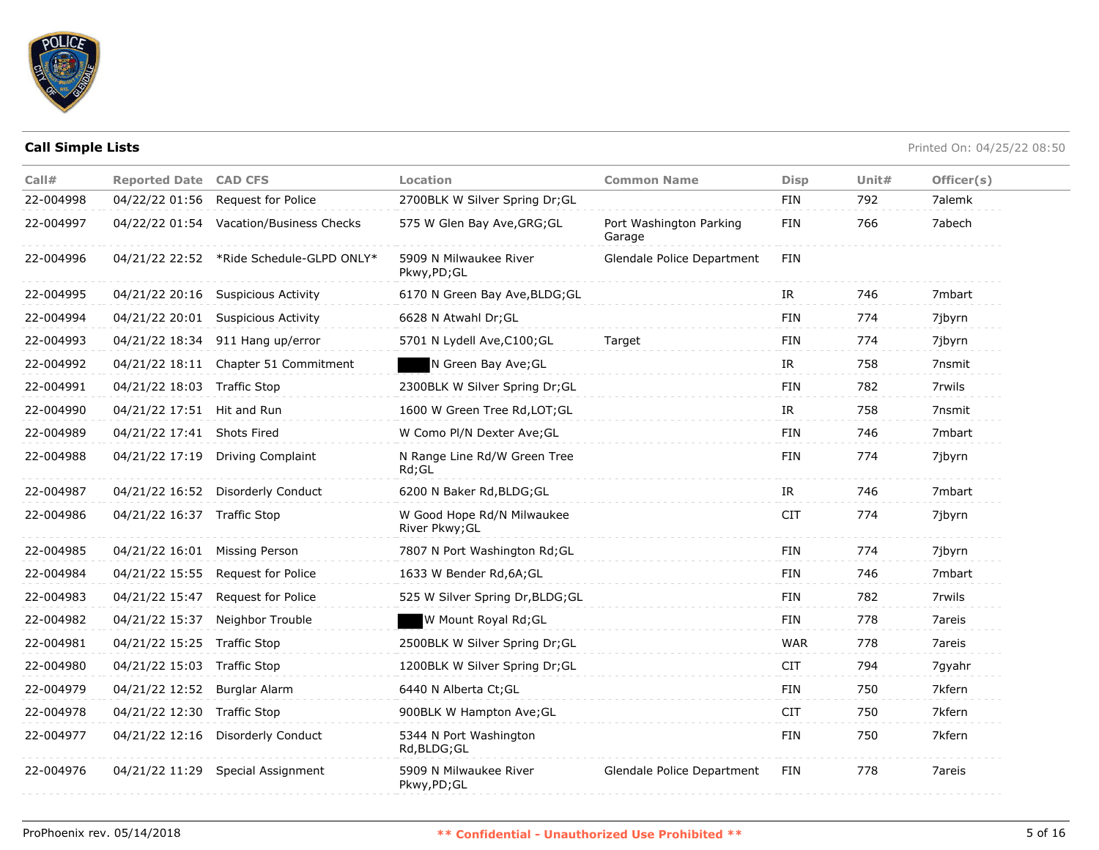

| Call#<br>22-004998 | <b>Reported Date CAD CFS</b><br>04/22/22 01:56 | <b>Request for Police</b>                | Location<br>2700BLK W Silver Spring Dr; GL   | <b>Common Name</b>                | <b>Disp</b><br>FIN | Unit $#$<br>792 | Officer(s)<br>7alemk |
|--------------------|------------------------------------------------|------------------------------------------|----------------------------------------------|-----------------------------------|--------------------|-----------------|----------------------|
|                    |                                                |                                          |                                              |                                   |                    |                 |                      |
| 22-004997          |                                                | 04/22/22 01:54 Vacation/Business Checks  | 575 W Glen Bay Ave, GRG; GL                  | Port Washington Parking<br>Garage | FIN                | 766             | 7abech               |
| 22-004996          |                                                | 04/21/22 22:52 *Ride Schedule-GLPD ONLY* | 5909 N Milwaukee River<br>Pkwy,PD;GL         | Glendale Police Department        | FIN                |                 |                      |
| 22-004995          |                                                | 04/21/22 20:16 Suspicious Activity       | 6170 N Green Bay Ave, BLDG; GL               |                                   | IR                 | 746             | 7mbart               |
| 22-004994          | 04/21/22 20:01                                 | <b>Suspicious Activity</b>               | 6628 N Atwahl Dr; GL                         |                                   | <b>FIN</b>         | 774             | 7jbyrn               |
| 22-004993          | 04/21/22 18:34                                 | 911 Hang up/error                        | 5701 N Lydell Ave, C100; GL                  | Target                            | FIN                | 774             | 7jbyrn               |
| 22-004992          | 04/21/22 18:11                                 | Chapter 51 Commitment                    | N Green Bay Ave; GL                          |                                   | IR.                | 758             | 7nsmit               |
| 22-004991          | 04/21/22 18:03 Traffic Stop                    |                                          | 2300BLK W Silver Spring Dr; GL               |                                   | <b>FIN</b>         | 782             | 7rwils               |
| 22-004990          | 04/21/22 17:51 Hit and Run                     |                                          | 1600 W Green Tree Rd, LOT; GL                |                                   | IR.                | 758             | 7nsmit               |
| 22-004989          | 04/21/22 17:41 Shots Fired                     |                                          | W Como Pl/N Dexter Ave; GL                   |                                   | <b>FIN</b>         | 746             | 7mbart               |
| 22-004988          | 04/21/22 17:19                                 | Driving Complaint                        | N Range Line Rd/W Green Tree<br>Rd;GL        |                                   | <b>FIN</b>         | 774             | 7jbyrn               |
| 22-004987          |                                                | 04/21/22 16:52 Disorderly Conduct        | 6200 N Baker Rd, BLDG; GL                    |                                   | IR                 | 746             | 7mbart               |
| 22-004986          | 04/21/22 16:37                                 | <b>Traffic Stop</b>                      | W Good Hope Rd/N Milwaukee<br>River Pkwy; GL |                                   | <b>CIT</b>         | 774             | 7jbyrn               |
| 22-004985          | 04/21/22 16:01 Missing Person                  |                                          | 7807 N Port Washington Rd; GL                |                                   | <b>FIN</b>         | 774             | 7jbyrn               |
| 22-004984          | 04/21/22 15:55                                 | Request for Police                       | 1633 W Bender Rd, 6A; GL                     |                                   | <b>FIN</b>         | 746             | 7mbart               |
| 22-004983          | 04/21/22 15:47                                 | Request for Police                       | 525 W Silver Spring Dr, BLDG; GL             |                                   | FIN                | 782             | 7rwils               |
| 22-004982          | 04/21/22 15:37                                 | Neighbor Trouble                         | W Mount Royal Rd; GL                         |                                   | <b>FIN</b>         | 778             | 7areis               |
| 22-004981          | 04/21/22 15:25                                 | <b>Traffic Stop</b>                      | 2500BLK W Silver Spring Dr;GL                |                                   | <b>WAR</b>         | 778             | 7areis               |
| 22-004980          | 04/21/22 15:03 Traffic Stop                    |                                          | 1200BLK W Silver Spring Dr;GL                |                                   | <b>CIT</b>         | 794             | 7gyahr               |
| 22-004979          | 04/21/22 12:52                                 | <b>Burglar Alarm</b>                     | 6440 N Alberta Ct; GL                        |                                   | <b>FIN</b>         | 750             | 7kfern               |
| 22-004978          | 04/21/22 12:30 Traffic Stop                    |                                          | 900BLK W Hampton Ave; GL                     |                                   | <b>CIT</b>         | 750             | 7kfern               |
| 22-004977          | 04/21/22 12:16                                 | <b>Disorderly Conduct</b>                | 5344 N Port Washington<br>Rd, BLDG; GL       |                                   | <b>FIN</b>         | 750             | 7kfern               |
| 22-004976          |                                                | 04/21/22 11:29 Special Assignment        | 5909 N Milwaukee River<br>Pkwy,PD;GL         | Glendale Police Department        | FIN                | 778             | 7areis               |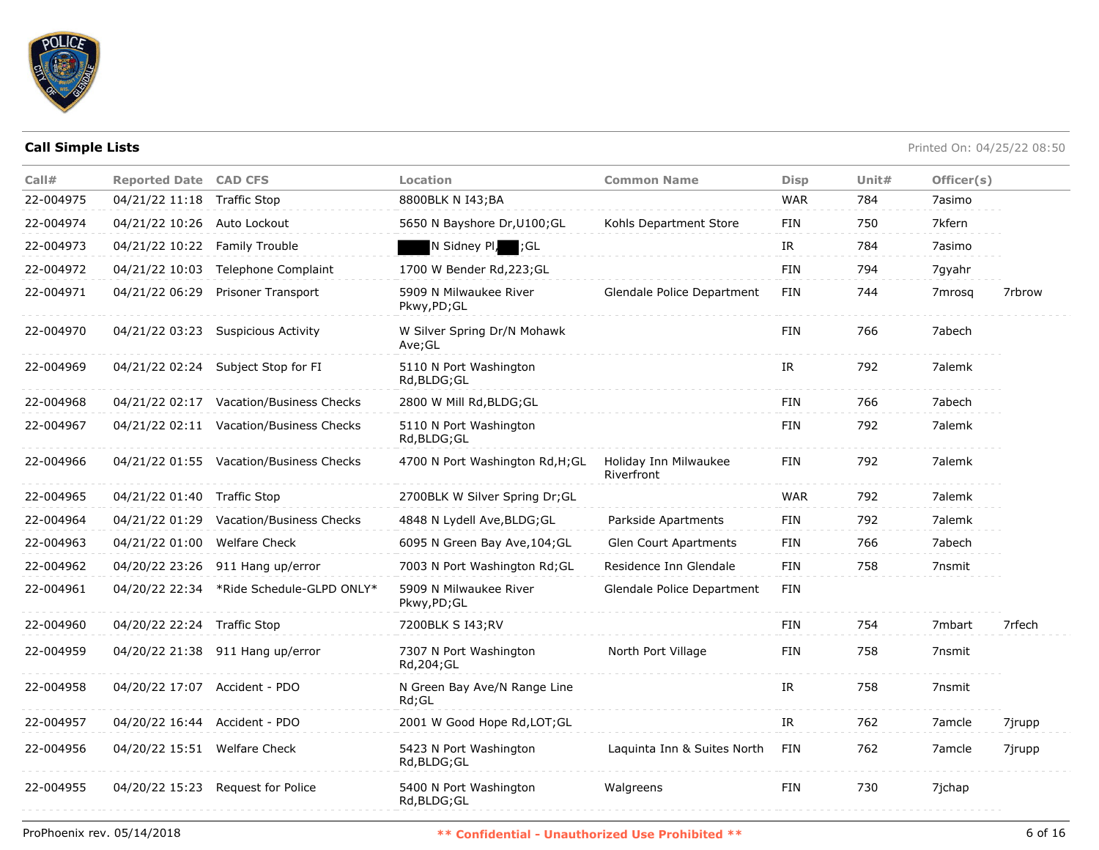

| Call#     | <b>Reported Date CAD CFS</b>  |                                          | Location                               | <b>Common Name</b>                  | <b>Disp</b> | Unit# | Officer(s) |        |
|-----------|-------------------------------|------------------------------------------|----------------------------------------|-------------------------------------|-------------|-------|------------|--------|
| 22-004975 | 04/21/22 11:18 Traffic Stop   |                                          | 8800BLK N I43;BA                       |                                     | <b>WAR</b>  | 784   | 7asimo     |        |
| 22-004974 | 04/21/22 10:26 Auto Lockout   |                                          | 5650 N Bayshore Dr, U100; GL           | Kohls Department Store              | <b>FIN</b>  | 750   | 7kfern     |        |
| 22-004973 | 04/21/22 10:22 Family Trouble |                                          | N Sidney Pl, ;GL                       |                                     | IR          | 784   | 7asimo     |        |
| 22-004972 | 04/21/22 10:03                | Telephone Complaint                      | 1700 W Bender Rd, 223; GL              |                                     | <b>FIN</b>  | 794   | 7gyahr     |        |
| 22-004971 | 04/21/22 06:29                | <b>Prisoner Transport</b>                | 5909 N Milwaukee River<br>Pkwy,PD;GL   | Glendale Police Department          | <b>FIN</b>  | 744   | 7mrosg     | 7rbrow |
| 22-004970 |                               | 04/21/22 03:23 Suspicious Activity       | W Silver Spring Dr/N Mohawk<br>Ave;GL  |                                     | <b>FIN</b>  | 766   | 7abech     |        |
| 22-004969 |                               | 04/21/22 02:24 Subject Stop for FI       | 5110 N Port Washington<br>Rd, BLDG; GL |                                     | IR          | 792   | 7alemk     |        |
| 22-004968 |                               | 04/21/22 02:17 Vacation/Business Checks  | 2800 W Mill Rd, BLDG; GL               |                                     | <b>FIN</b>  | 766   | 7abech     |        |
| 22-004967 |                               | 04/21/22 02:11 Vacation/Business Checks  | 5110 N Port Washington<br>Rd,BLDG;GL   |                                     | FIN         | 792   | 7alemk     |        |
| 22-004966 |                               | 04/21/22 01:55 Vacation/Business Checks  | 4700 N Port Washington Rd, H; GL       | Holiday Inn Milwaukee<br>Riverfront | <b>FIN</b>  | 792   | 7alemk     |        |
| 22-004965 | 04/21/22 01:40 Traffic Stop   |                                          | 2700BLK W Silver Spring Dr;GL          |                                     | <b>WAR</b>  | 792   | 7alemk     |        |
| 22-004964 |                               | 04/21/22 01:29 Vacation/Business Checks  | 4848 N Lydell Ave, BLDG; GL            | Parkside Apartments                 | FIN         | 792   | 7alemk     |        |
| 22-004963 | 04/21/22 01:00                | Welfare Check                            | 6095 N Green Bay Ave, 104; GL          | Glen Court Apartments               | <b>FIN</b>  | 766   | 7abech     |        |
| 22-004962 |                               | 04/20/22 23:26 911 Hang up/error         | 7003 N Port Washington Rd; GL          | Residence Inn Glendale              | <b>FIN</b>  | 758   | 7nsmit     |        |
| 22-004961 |                               | 04/20/22 22:34 *Ride Schedule-GLPD ONLY* | 5909 N Milwaukee River<br>Pkwy,PD;GL   | Glendale Police Department          | <b>FIN</b>  |       |            |        |
| 22-004960 | 04/20/22 22:24 Traffic Stop   |                                          | 7200BLK S I43;RV                       |                                     | FIN         | 754   | 7mbart     | 7rfech |
| 22-004959 |                               | 04/20/22 21:38 911 Hang up/error         | 7307 N Port Washington<br>Rd,204;GL    | North Port Village                  | FIN         | 758   | 7nsmit     |        |
| 22-004958 | 04/20/22 17:07 Accident - PDO |                                          | N Green Bay Ave/N Range Line<br>Rd;GL  |                                     | IR          | 758   | 7nsmit     |        |
| 22-004957 | 04/20/22 16:44 Accident - PDO |                                          | 2001 W Good Hope Rd, LOT; GL           |                                     | IR.         | 762   | 7amcle     | 7jrupp |
| 22-004956 | 04/20/22 15:51 Welfare Check  |                                          | 5423 N Port Washington<br>Rd, BLDG; GL | Laquinta Inn & Suites North         | FIN         | 762   | 7amcle     | 7jrupp |
| 22-004955 |                               | 04/20/22 15:23 Request for Police        | 5400 N Port Washington<br>Rd, BLDG; GL | Walgreens                           | <b>FIN</b>  | 730   | 7jchap     |        |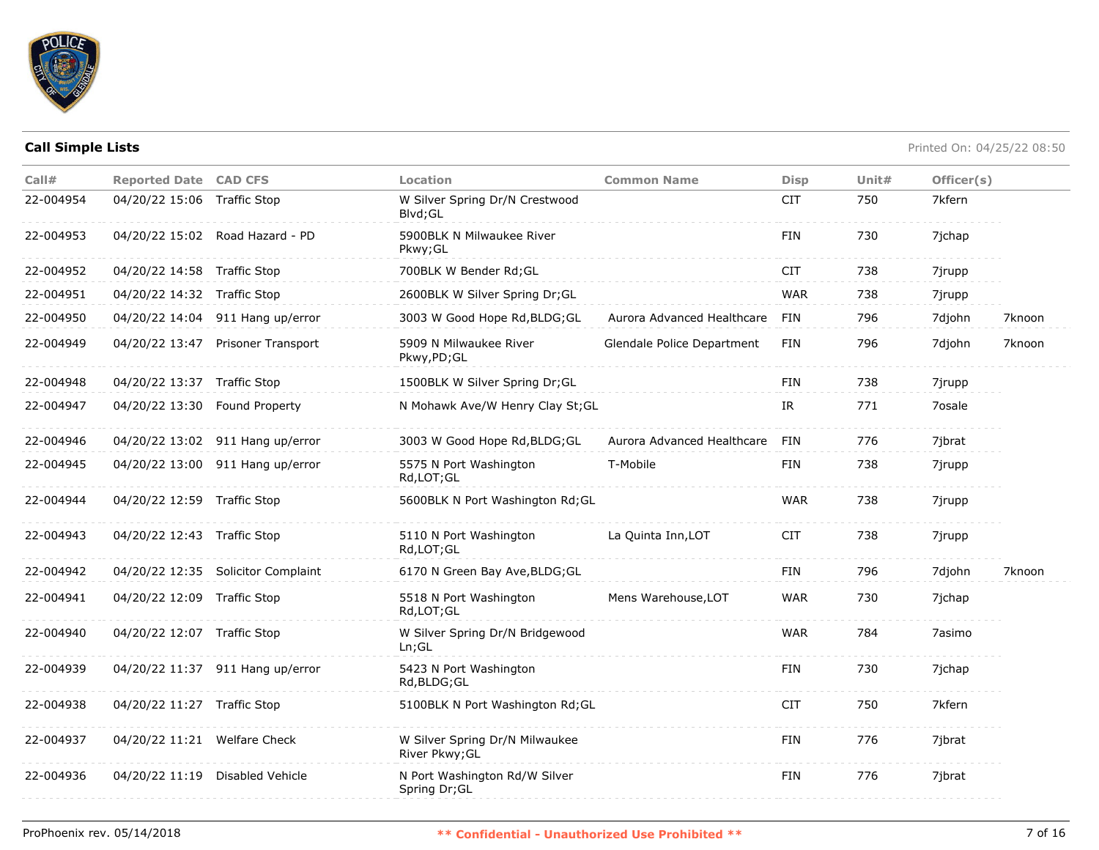

| Call#     | <b>Reported Date CAD CFS</b>  |                                    | Location                                         | <b>Common Name</b>         | <b>Disp</b> | Unit $#$ | Officer(s) |        |
|-----------|-------------------------------|------------------------------------|--------------------------------------------------|----------------------------|-------------|----------|------------|--------|
| 22-004954 | 04/20/22 15:06 Traffic Stop   |                                    | W Silver Spring Dr/N Crestwood<br>Blvd; GL       |                            | <b>CIT</b>  | 750      | 7kfern     |        |
| 22-004953 |                               | 04/20/22 15:02 Road Hazard - PD    | 5900BLK N Milwaukee River<br>Pkwy; GL            |                            | FIN         | 730      | 7jchap     |        |
| 22-004952 | 04/20/22 14:58 Traffic Stop   |                                    | 700BLK W Bender Rd; GL                           |                            | <b>CIT</b>  | 738      | 7jrupp     |        |
| 22-004951 | 04/20/22 14:32 Traffic Stop   |                                    | 2600BLK W Silver Spring Dr; GL                   |                            | <b>WAR</b>  | 738      | 7jrupp     |        |
| 22-004950 |                               | 04/20/22 14:04 911 Hang up/error   | 3003 W Good Hope Rd, BLDG; GL                    | Aurora Advanced Healthcare | FIN         | 796      | 7djohn     | 7knoon |
| 22-004949 |                               | 04/20/22 13:47 Prisoner Transport  | 5909 N Milwaukee River<br>Pkwy,PD;GL             | Glendale Police Department | <b>FIN</b>  | 796      | 7djohn     | 7knoon |
| 22-004948 | 04/20/22 13:37 Traffic Stop   |                                    | 1500BLK W Silver Spring Dr;GL                    |                            | <b>FIN</b>  | 738      | 7jrupp     |        |
| 22-004947 | 04/20/22 13:30 Found Property |                                    | N Mohawk Ave/W Henry Clay St; GL                 |                            | IR.         | 771      | 7osale     |        |
| 22-004946 |                               | 04/20/22 13:02 911 Hang up/error   | 3003 W Good Hope Rd, BLDG; GL                    | Aurora Advanced Healthcare | FIN         | 776      | 7jbrat     |        |
| 22-004945 |                               | 04/20/22 13:00 911 Hang up/error   | 5575 N Port Washington<br>Rd,LOT;GL              | T-Mobile                   | <b>FIN</b>  | 738      | 7jrupp     |        |
| 22-004944 | 04/20/22 12:59 Traffic Stop   |                                    | 5600BLK N Port Washington Rd; GL                 |                            | <b>WAR</b>  | 738      | 7jrupp     |        |
| 22-004943 | 04/20/22 12:43 Traffic Stop   |                                    | 5110 N Port Washington<br>Rd,LOT;GL              | La Quinta Inn, LOT         | <b>CIT</b>  | 738      | 7jrupp     |        |
| 22-004942 |                               | 04/20/22 12:35 Solicitor Complaint | 6170 N Green Bay Ave, BLDG; GL                   |                            | <b>FIN</b>  | 796      | 7djohn     | 7knoon |
| 22-004941 | 04/20/22 12:09 Traffic Stop   |                                    | 5518 N Port Washington<br>Rd, LOT; GL            | Mens Warehouse, LOT        | <b>WAR</b>  | 730      | 7jchap     |        |
| 22-004940 | 04/20/22 12:07 Traffic Stop   |                                    | W Silver Spring Dr/N Bridgewood<br>Ln; GL        |                            | <b>WAR</b>  | 784      | 7asimo     |        |
| 22-004939 |                               | 04/20/22 11:37 911 Hang up/error   | 5423 N Port Washington<br>Rd, BLDG; GL           |                            | <b>FIN</b>  | 730      | 7jchap     |        |
| 22-004938 | 04/20/22 11:27 Traffic Stop   |                                    | 5100BLK N Port Washington Rd; GL                 |                            | <b>CIT</b>  | 750      | 7kfern     |        |
| 22-004937 | 04/20/22 11:21 Welfare Check  |                                    | W Silver Spring Dr/N Milwaukee<br>River Pkwy; GL |                            | <b>FIN</b>  | 776      | 7jbrat     |        |
| 22-004936 |                               | 04/20/22 11:19 Disabled Vehicle    | N Port Washington Rd/W Silver<br>Spring Dr; GL   |                            | <b>FIN</b>  | 776      | 7jbrat     |        |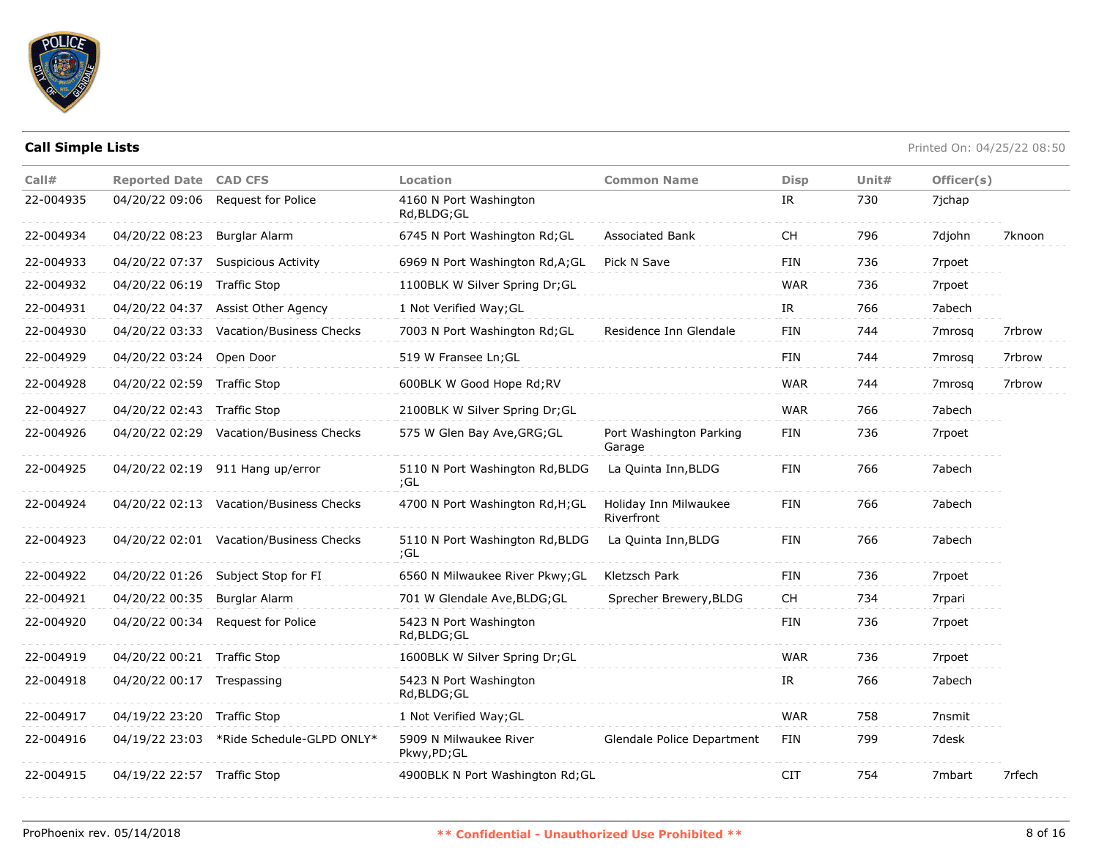

| Call#     | <b>Reported Date CAD CFS</b> |                                         | Location                               | <b>Common Name</b>                  | <b>Disp</b> | Unit# | Officer(s) |        |
|-----------|------------------------------|-----------------------------------------|----------------------------------------|-------------------------------------|-------------|-------|------------|--------|
| 22-004935 | 04/20/22 09:06               | Request for Police                      | 4160 N Port Washington<br>Rd, BLDG; GL |                                     | IR          | 730   | 7jchap     |        |
| 22-004934 | 04/20/22 08:23               | <b>Burglar Alarm</b>                    | 6745 N Port Washington Rd; GL          | Associated Bank                     | СH          | 796   | 7djohn     | 7knoon |
| 22-004933 | 04/20/22 07:37               | <b>Suspicious Activity</b>              | 6969 N Port Washington Rd, A; GL       | Pick N Save                         | <b>FIN</b>  | 736   | 7rpoet     |        |
| 22-004932 | 04/20/22 06:19               | <b>Traffic Stop</b>                     | 1100BLK W Silver Spring Dr;GL          |                                     | <b>WAR</b>  | 736   | 7rpoet     |        |
| 22-004931 | 04/20/22 04:37               | Assist Other Agency                     | 1 Not Verified Way; GL                 |                                     | IR          | 766   | 7abech     |        |
| 22-004930 | 04/20/22 03:33               | Vacation/Business Checks                | 7003 N Port Washington Rd; GL          | Residence Inn Glendale              | <b>FIN</b>  | 744   | 7mrosa     | 7rbrow |
| 22-004929 | 04/20/22 03:24 Open Door     |                                         | 519 W Fransee Ln; GL                   |                                     | <b>FIN</b>  | 744   | 7mrosq     | 7rbrow |
| 22-004928 | 04/20/22 02:59 Traffic Stop  |                                         | 600BLK W Good Hope Rd;RV               |                                     | <b>WAR</b>  | 744   | 7mrosa     | 7rbrow |
| 22-004927 | 04/20/22 02:43 Traffic Stop  |                                         | 2100BLK W Silver Spring Dr;GL          |                                     | <b>WAR</b>  | 766   | 7abech     |        |
| 22-004926 |                              | 04/20/22 02:29 Vacation/Business Checks | 575 W Glen Bay Ave, GRG; GL            | Port Washington Parking<br>Garage   | <b>FIN</b>  | 736   | 7rpoet     |        |
| 22-004925 |                              | 04/20/22 02:19 911 Hang up/error        | 5110 N Port Washington Rd, BLDG<br>;GL | La Quinta Inn, BLDG                 | <b>FIN</b>  | 766   | 7abech     |        |
| 22-004924 |                              | 04/20/22 02:13 Vacation/Business Checks | 4700 N Port Washington Rd, H; GL       | Holiday Inn Milwaukee<br>Riverfront | <b>FIN</b>  | 766   | 7abech     |        |
| 22-004923 |                              | 04/20/22 02:01 Vacation/Business Checks | 5110 N Port Washington Rd, BLDG<br>;GL | La Quinta Inn, BLDG                 | <b>FIN</b>  | 766   | 7abech     |        |
| 22-004922 |                              | 04/20/22 01:26 Subject Stop for FI      | 6560 N Milwaukee River Pkwy; GL        | Kletzsch Park                       | <b>FIN</b>  | 736   | 7rpoet     |        |
| 22-004921 | 04/20/22 00:35               | Burglar Alarm                           | 701 W Glendale Ave, BLDG; GL           | Sprecher Brewery, BLDG              | <b>CH</b>   | 734   | 7rpari     |        |
| 22-004920 | 04/20/22 00:34               | Request for Police                      | 5423 N Port Washington<br>Rd, BLDG; GL |                                     | <b>FIN</b>  | 736   | 7rpoet     |        |
| 22-004919 | 04/20/22 00:21 Traffic Stop  |                                         | 1600BLK W Silver Spring Dr;GL          |                                     | <b>WAR</b>  | 736   | 7rpoet     |        |
| 22-004918 | 04/20/22 00:17               | Trespassing                             | 5423 N Port Washington<br>Rd, BLDG; GL |                                     | IR          | 766   | 7abech     |        |
| 22-004917 | 04/19/22 23:20 Traffic Stop  |                                         | 1 Not Verified Way; GL                 |                                     | <b>WAR</b>  | 758   | 7nsmit     |        |
| 22-004916 | 04/19/22 23:03               | *Ride Schedule-GLPD ONLY*               | 5909 N Milwaukee River<br>Pkwy,PD;GL   | Glendale Police Department          | <b>FIN</b>  | 799   | 7desk      |        |
| 22-004915 | 04/19/22 22:57 Traffic Stop  |                                         | 4900BLK N Port Washington Rd; GL       |                                     | <b>CIT</b>  | 754   | 7mbart     | 7rfech |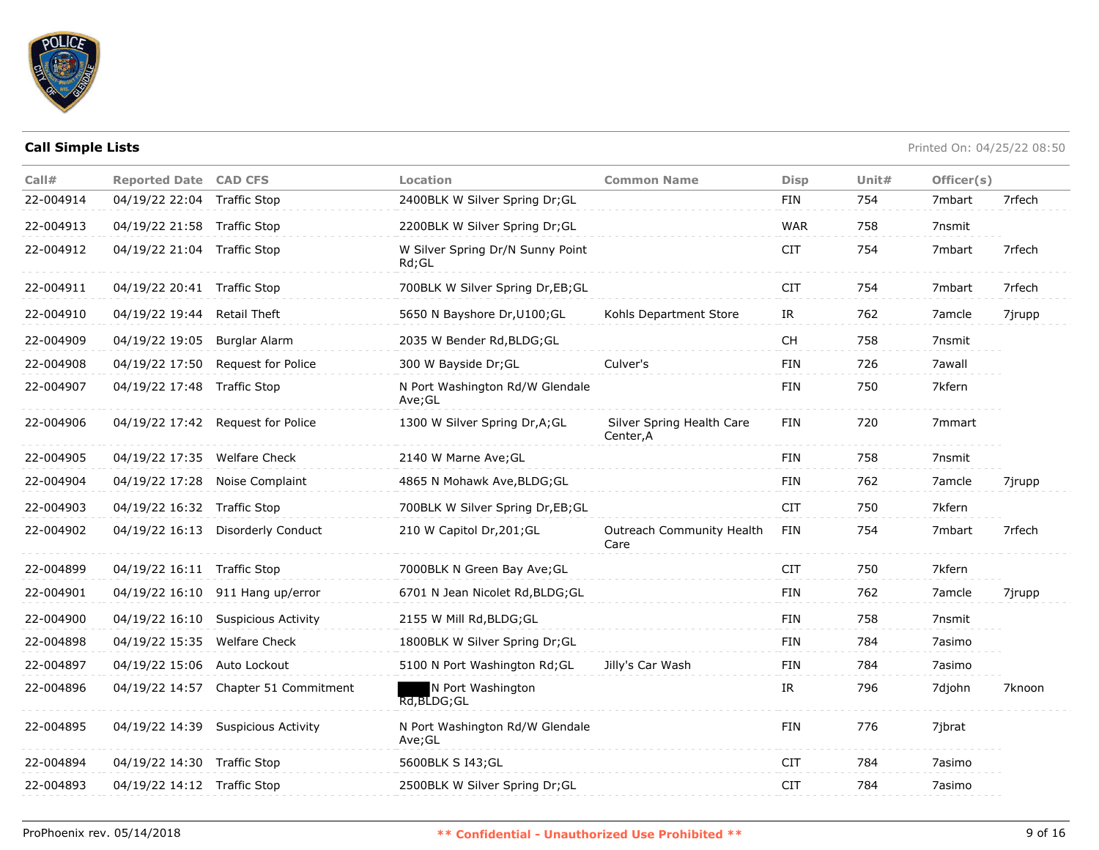

| Call#     | <b>Reported Date CAD CFS</b> |                                      | <b>Location</b>                           | <b>Common Name</b>                     | <b>Disp</b>                                                                                             | Unit $#$ | Officer(s) |        |
|-----------|------------------------------|--------------------------------------|-------------------------------------------|----------------------------------------|---------------------------------------------------------------------------------------------------------|----------|------------|--------|
| 22-004914 | 04/19/22 22:04 Traffic Stop  |                                      | 2400BLK W Silver Spring Dr; GL            |                                        | FIN                                                                                                     | 754      | 7mbart     | 7rfech |
| 22-004913 | 04/19/22 21:58 Traffic Stop  |                                      | 2200BLK W Silver Spring Dr; GL            |                                        | <b>WAR</b>                                                                                              | 758      | 7nsmit     |        |
| 22-004912 | 04/19/22 21:04 Traffic Stop  |                                      | W Silver Spring Dr/N Sunny Point<br>Rd:GL |                                        | <b>CIT</b>                                                                                              | 754      | 7mbart     | 7rfech |
| 22-004911 | 04/19/22 20:41 Traffic Stop  |                                      | 700BLK W Silver Spring Dr, EB; GL         |                                        | <b>CIT</b>                                                                                              | 754      | 7mbart     | 7rfech |
| 22-004910 | 04/19/22 19:44 Retail Theft  |                                      | 5650 N Bayshore Dr, U100; GL              | Kohls Department Store                 | IR                                                                                                      | 762      | 7amcle     | 7jrupp |
| 22-004909 | 04/19/22 19:05               | Burglar Alarm                        | 2035 W Bender Rd, BLDG; GL                |                                        | $\mathsf{CH}% _{\mathsf{C}}^{\mathsf{C}}(\mathsf{C})=\mathsf{CH}_{\mathsf{C}}^{\mathsf{C}}(\mathsf{C})$ | 758      | 7nsmit     |        |
| 22-004908 | 04/19/22 17:50               | Request for Police                   | 300 W Bayside Dr; GL                      | Culver's                               | FIN                                                                                                     | 726      | 7awall     |        |
| 22-004907 | 04/19/22 17:48 Traffic Stop  |                                      | N Port Washington Rd/W Glendale<br>Ave;GL |                                        | FIN                                                                                                     | 750      | 7kfern     |        |
| 22-004906 |                              | 04/19/22 17:42 Request for Police    | 1300 W Silver Spring Dr, A; GL            | Silver Spring Health Care<br>Center, A | FIN                                                                                                     | 720      | 7mmart     |        |
| 22-004905 | 04/19/22 17:35 Welfare Check |                                      | 2140 W Marne Ave; GL                      |                                        | FIN                                                                                                     | 758      | 7nsmit     |        |
| 22-004904 |                              | 04/19/22 17:28 Noise Complaint       | 4865 N Mohawk Ave, BLDG; GL               |                                        | FIN                                                                                                     | 762      | 7amcle     | 7jrupp |
| 22-004903 | 04/19/22 16:32 Traffic Stop  |                                      | 700BLK W Silver Spring Dr,EB;GL           |                                        | <b>CIT</b>                                                                                              | 750      | 7kfern     |        |
| 22-004902 | 04/19/22 16:13               | <b>Disorderly Conduct</b>            | 210 W Capitol Dr, 201; GL                 | Outreach Community Health<br>Care      | FIN                                                                                                     | 754      | 7mbart     | 7rfech |
| 22-004899 | 04/19/22 16:11 Traffic Stop  |                                      | 7000BLK N Green Bay Ave; GL               |                                        | <b>CIT</b>                                                                                              | 750      | 7kfern     |        |
| 22-004901 |                              | 04/19/22 16:10 911 Hang up/error     | 6701 N Jean Nicolet Rd, BLDG; GL          |                                        | <b>FIN</b>                                                                                              | 762      | 7amcle     | 7jrupp |
| 22-004900 |                              | 04/19/22 16:10 Suspicious Activity   | 2155 W Mill Rd, BLDG; GL                  |                                        | <b>FIN</b>                                                                                              | 758      | 7nsmit     |        |
| 22-004898 | 04/19/22 15:35 Welfare Check |                                      | 1800BLK W Silver Spring Dr;GL             |                                        | FIN                                                                                                     | 784      | 7asimo     |        |
| 22-004897 | 04/19/22 15:06 Auto Lockout  |                                      | 5100 N Port Washington Rd; GL             | Jilly's Car Wash                       | FIN                                                                                                     | 784      | 7asimo     |        |
| 22-004896 |                              | 04/19/22 14:57 Chapter 51 Commitment | N Port Washington<br>$Rd$ , BLDG; GL      |                                        | IR                                                                                                      | 796      | 7djohn     | 7knoon |
| 22-004895 |                              | 04/19/22 14:39 Suspicious Activity   | N Port Washington Rd/W Glendale<br>Ave;GL |                                        | <b>FIN</b>                                                                                              | 776      | 7jbrat     |        |
| 22-004894 | 04/19/22 14:30 Traffic Stop  |                                      | 5600BLK S I43; GL                         |                                        | <b>CIT</b>                                                                                              | 784      | 7asimo     |        |
| 22-004893 | 04/19/22 14:12 Traffic Stop  |                                      | 2500BLK W Silver Spring Dr;GL             |                                        | <b>CIT</b>                                                                                              | 784      | 7asimo     |        |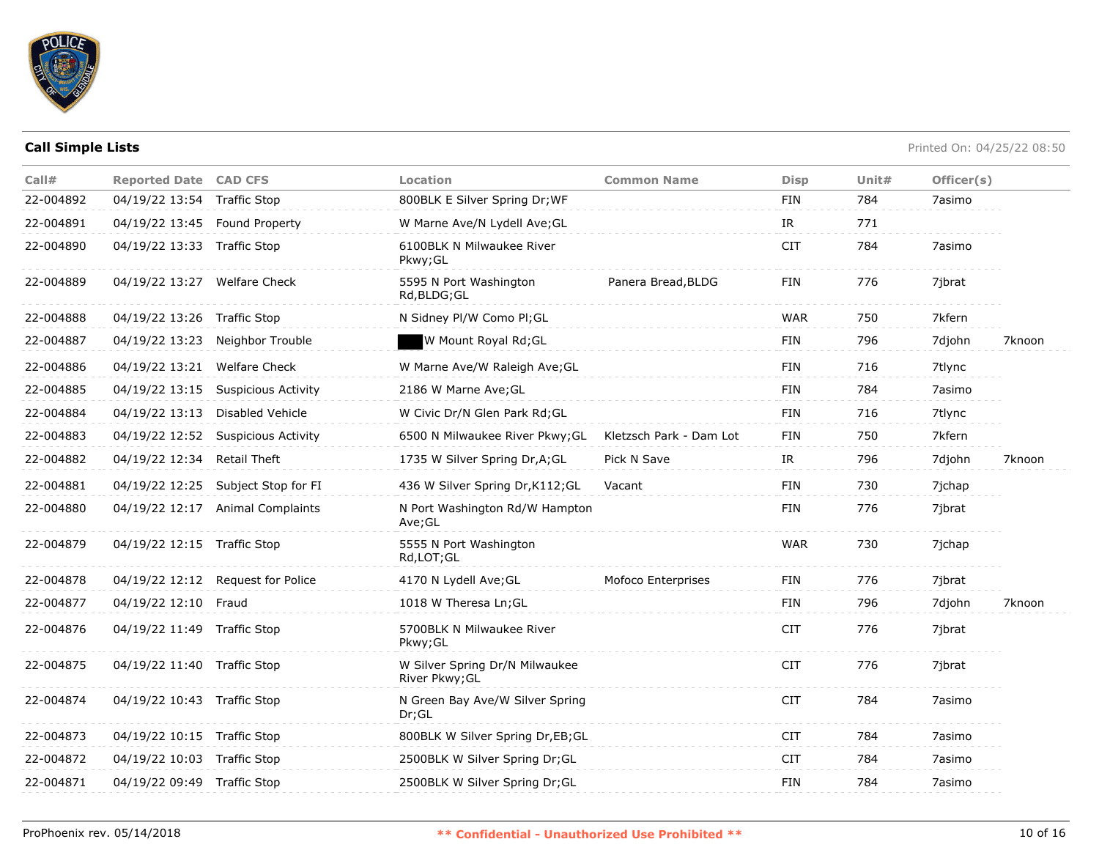

| Call#     | <b>Reported Date CAD CFS</b>  |                                    | <b>Location</b>                                  | <b>Common Name</b>      | <b>Disp</b> | Unit $#$ | Officer(s) |        |
|-----------|-------------------------------|------------------------------------|--------------------------------------------------|-------------------------|-------------|----------|------------|--------|
| 22-004892 | 04/19/22 13:54 Traffic Stop   |                                    | 800BLK E Silver Spring Dr; WF                    |                         | FIN         | 784      | 7asimo     |        |
| 22-004891 | 04/19/22 13:45 Found Property |                                    | W Marne Ave/N Lydell Ave; GL                     |                         | IR          | 771      |            |        |
| 22-004890 | 04/19/22 13:33 Traffic Stop   |                                    | 6100BLK N Milwaukee River<br>Pkwy; GL            |                         | <b>CIT</b>  | 784      | 7asimo     |        |
| 22-004889 | 04/19/22 13:27 Welfare Check  |                                    | 5595 N Port Washington<br>Rd, BLDG; GL           | Panera Bread, BLDG      | FIN         | 776      | 7jbrat     |        |
| 22-004888 | 04/19/22 13:26 Traffic Stop   |                                    | N Sidney Pl/W Como Pl; GL                        |                         | WAR         | 750      | 7kfern     |        |
| 22-004887 |                               | 04/19/22 13:23 Neighbor Trouble    | W Mount Royal Rd;GL                              |                         | <b>FIN</b>  | 796      | 7djohn     | 7knoon |
| 22-004886 | 04/19/22 13:21                | <b>Welfare Check</b>               | W Marne Ave/W Raleigh Ave; GL                    |                         | FIN         | 716      | 7tlync     |        |
| 22-004885 |                               | 04/19/22 13:15 Suspicious Activity | 2186 W Marne Ave; GL                             |                         | <b>FIN</b>  | 784      | 7asimo     |        |
| 22-004884 | 04/19/22 13:13                | Disabled Vehicle                   | W Civic Dr/N Glen Park Rd; GL                    |                         | FIN         | 716      | 7tlync     |        |
| 22-004883 | 04/19/22 12:52                | Suspicious Activity                | 6500 N Milwaukee River Pkwy; GL                  | Kletzsch Park - Dam Lot | FIN         | 750      | 7kfern     |        |
| 22-004882 | 04/19/22 12:34 Retail Theft   |                                    | 1735 W Silver Spring Dr, A; GL                   | Pick N Save             | IR          | 796      | 7djohn     | 7knoon |
| 22-004881 |                               | 04/19/22 12:25 Subject Stop for FI | 436 W Silver Spring Dr, K112; GL                 | Vacant                  | FIN         | 730      | 7jchap     |        |
| 22-004880 |                               | 04/19/22 12:17 Animal Complaints   | N Port Washington Rd/W Hampton<br>Ave;GL         |                         | <b>FIN</b>  | 776      | 7jbrat     |        |
| 22-004879 | 04/19/22 12:15 Traffic Stop   |                                    | 5555 N Port Washington<br>Rd, LOT; GL            |                         | <b>WAR</b>  | 730      | 7jchap     |        |
| 22-004878 |                               | 04/19/22 12:12 Request for Police  | 4170 N Lydell Ave; GL                            | Mofoco Enterprises      | FIN         | 776      | 7jbrat     |        |
| 22-004877 | 04/19/22 12:10 Fraud          |                                    | 1018 W Theresa Ln; GL                            |                         | FIN         | 796      | 7djohn     | 7knoon |
| 22-004876 | 04/19/22 11:49 Traffic Stop   |                                    | 5700BLK N Milwaukee River<br>Pkwy; GL            |                         | <b>CIT</b>  | 776      | 7jbrat     |        |
| 22-004875 | 04/19/22 11:40 Traffic Stop   |                                    | W Silver Spring Dr/N Milwaukee<br>River Pkwy; GL |                         | <b>CIT</b>  | 776      | 7jbrat     |        |
| 22-004874 | 04/19/22 10:43 Traffic Stop   |                                    | N Green Bay Ave/W Silver Spring<br>Dr; GL        |                         | <b>CIT</b>  | 784      | 7asimo     |        |
| 22-004873 | 04/19/22 10:15 Traffic Stop   |                                    | 800BLK W Silver Spring Dr,EB;GL                  |                         | <b>CIT</b>  | 784      | 7asimo     |        |
| 22-004872 | 04/19/22 10:03 Traffic Stop   |                                    | 2500BLK W Silver Spring Dr; GL                   |                         | <b>CIT</b>  | 784      | 7asimo     |        |
| 22-004871 | 04/19/22 09:49 Traffic Stop   |                                    | 2500BLK W Silver Spring Dr; GL                   |                         | FIN         | 784      | 7asimo     |        |
|           |                               |                                    |                                                  |                         |             |          |            |        |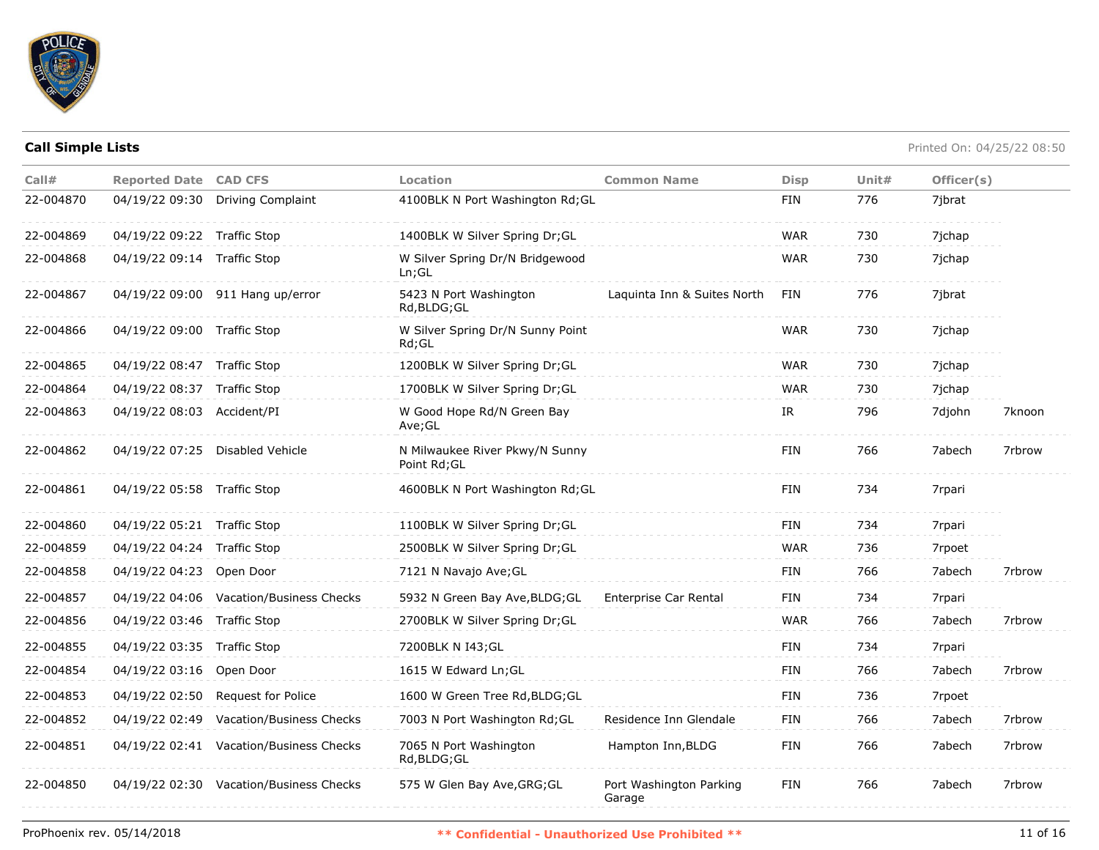

| Call#     | <b>Reported Date CAD CFS</b> |                                         | Location                                       | <b>Common Name</b>                | <b>Disp</b> | Unit# | Officer(s) |        |
|-----------|------------------------------|-----------------------------------------|------------------------------------------------|-----------------------------------|-------------|-------|------------|--------|
| 22-004870 | 04/19/22 09:30               | <b>Driving Complaint</b>                | 4100BLK N Port Washington Rd; GL               |                                   | FIN         | 776   | 7jbrat     |        |
| 22-004869 | 04/19/22 09:22 Traffic Stop  |                                         | 1400BLK W Silver Spring Dr;GL                  |                                   | <b>WAR</b>  | 730   | 7jchap     |        |
| 22-004868 | 04/19/22 09:14 Traffic Stop  |                                         | W Silver Spring Dr/N Bridgewood<br>Ln; GL      |                                   | <b>WAR</b>  | 730   | 7jchap     |        |
| 22-004867 |                              | 04/19/22 09:00 911 Hang up/error        | 5423 N Port Washington<br>Rd, BLDG; GL         | Laguinta Inn & Suites North       | FIN         | 776   | 7ibrat     |        |
| 22-004866 | 04/19/22 09:00 Traffic Stop  |                                         | W Silver Spring Dr/N Sunny Point<br>$Rd$ ; GL  |                                   | <b>WAR</b>  | 730   | 7jchap     |        |
| 22-004865 | 04/19/22 08:47 Traffic Stop  |                                         | 1200BLK W Silver Spring Dr; GL                 |                                   | <b>WAR</b>  | 730   | 7ichap     |        |
| 22-004864 | 04/19/22 08:37 Traffic Stop  |                                         | 1700BLK W Silver Spring Dr; GL                 |                                   | <b>WAR</b>  | 730   | 7jchap     |        |
| 22-004863 | 04/19/22 08:03 Accident/PI   |                                         | W Good Hope Rd/N Green Bay<br>Ave; GL          |                                   | IR          | 796   | 7djohn     | 7knoon |
| 22-004862 |                              | 04/19/22 07:25 Disabled Vehicle         | N Milwaukee River Pkwy/N Sunny<br>Point Rd; GL |                                   | <b>FIN</b>  | 766   | 7abech     | 7rbrow |
| 22-004861 | 04/19/22 05:58 Traffic Stop  |                                         | 4600BLK N Port Washington Rd; GL               |                                   | <b>FIN</b>  | 734   | 7rpari     |        |
| 22-004860 | 04/19/22 05:21 Traffic Stop  |                                         | 1100BLK W Silver Spring Dr; GL                 |                                   | FIN         | 734   | 7rpari     |        |
| 22-004859 | 04/19/22 04:24 Traffic Stop  |                                         | 2500BLK W Silver Spring Dr; GL                 |                                   | <b>WAR</b>  | 736   | 7rpoet     |        |
| 22-004858 | 04/19/22 04:23               | Open Door                               | 7121 N Navajo Ave; GL                          |                                   | <b>FIN</b>  | 766   | 7abech     | 7rbrow |
| 22-004857 |                              | 04/19/22 04:06 Vacation/Business Checks | 5932 N Green Bay Ave, BLDG; GL                 | Enterprise Car Rental             | <b>FIN</b>  | 734   | 7rpari     |        |
| 22-004856 | 04/19/22 03:46 Traffic Stop  |                                         | 2700BLK W Silver Spring Dr; GL                 |                                   | <b>WAR</b>  | 766   | 7abech     | 7rbrow |
| 22-004855 | 04/19/22 03:35 Traffic Stop  |                                         | 7200BLK N I43; GL                              |                                   | <b>FIN</b>  | 734   | 7rpari     |        |
| 22-004854 | 04/19/22 03:16 Open Door     |                                         | 1615 W Edward Ln; GL                           |                                   | <b>FIN</b>  | 766   | 7abech     | 7rbrow |
| 22-004853 | 04/19/22 02:50               | Request for Police                      | 1600 W Green Tree Rd, BLDG; GL                 |                                   | <b>FIN</b>  | 736   | 7rpoet     |        |
| 22-004852 | 04/19/22 02:49               | <b>Vacation/Business Checks</b>         | 7003 N Port Washington Rd; GL                  | Residence Inn Glendale            | FIN         | 766   | 7abech     | 7rbrow |
| 22-004851 |                              | 04/19/22 02:41 Vacation/Business Checks | 7065 N Port Washington<br>Rd, BLDG; GL         | Hampton Inn, BLDG                 | <b>FIN</b>  | 766   | 7abech     | 7rbrow |
| 22-004850 |                              | 04/19/22 02:30 Vacation/Business Checks | 575 W Glen Bay Ave, GRG; GL                    | Port Washington Parking<br>Garage | <b>FIN</b>  | 766   | 7abech     | 7rbrow |
|           |                              |                                         |                                                |                                   |             |       |            |        |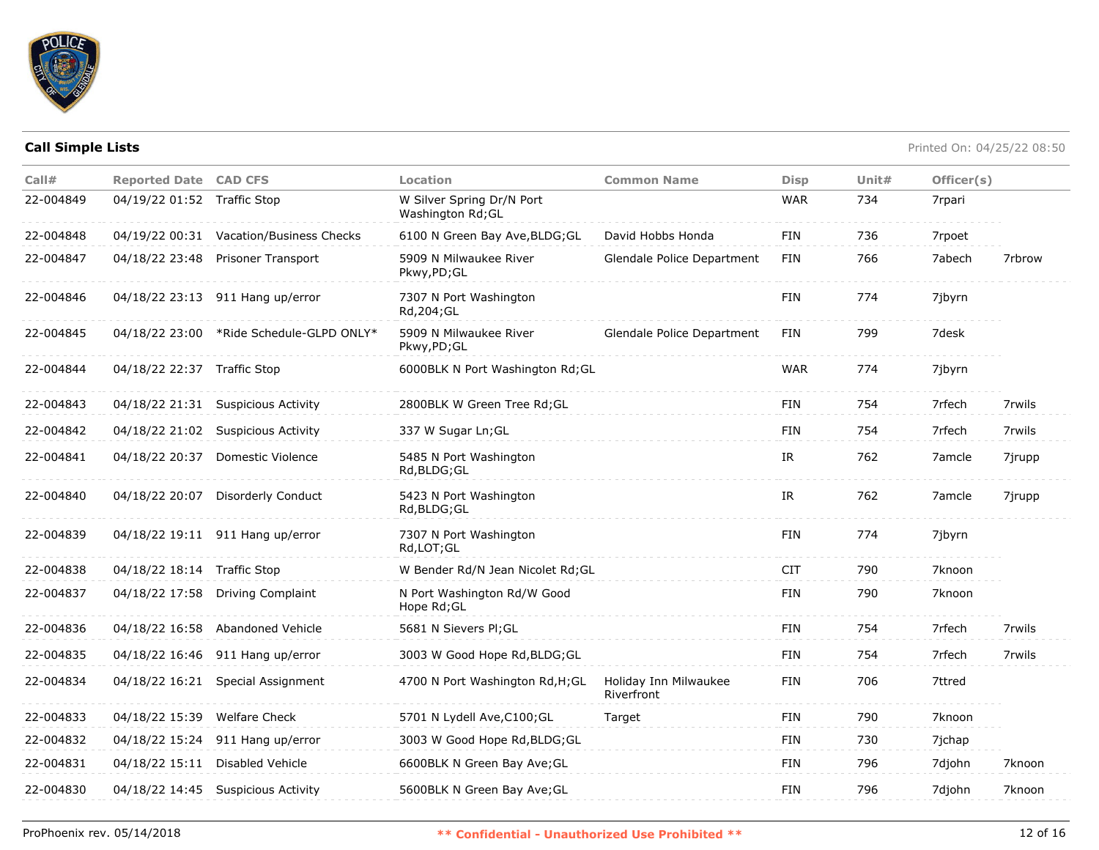

| Call#     | <b>Reported Date CAD CFS</b> |                                          | Location                                       | <b>Common Name</b>                  | <b>Disp</b> | Unit# | Officer(s) |        |
|-----------|------------------------------|------------------------------------------|------------------------------------------------|-------------------------------------|-------------|-------|------------|--------|
| 22-004849 | 04/19/22 01:52 Traffic Stop  |                                          | W Silver Spring Dr/N Port<br>Washington Rd; GL |                                     | <b>WAR</b>  | 734   | 7rpari     |        |
| 22-004848 |                              | 04/19/22 00:31 Vacation/Business Checks  | 6100 N Green Bay Ave, BLDG; GL                 | David Hobbs Honda                   | <b>FIN</b>  | 736   | 7rpoet     |        |
| 22-004847 |                              | 04/18/22 23:48 Prisoner Transport        | 5909 N Milwaukee River<br>Pkwy,PD;GL           | Glendale Police Department          | FIN         | 766   | 7abech     | 7rbrow |
| 22-004846 |                              | 04/18/22 23:13 911 Hang up/error         | 7307 N Port Washington<br>Rd, 204; GL          |                                     | <b>FIN</b>  | 774   | 7jbyrn     |        |
| 22-004845 |                              | 04/18/22 23:00 *Ride Schedule-GLPD ONLY* | 5909 N Milwaukee River<br>Pkwy,PD;GL           | Glendale Police Department          | <b>FIN</b>  | 799   | 7desk      |        |
| 22-004844 | 04/18/22 22:37 Traffic Stop  |                                          | 6000BLK N Port Washington Rd; GL               |                                     | <b>WAR</b>  | 774   | 7jbyrn     |        |
| 22-004843 |                              | 04/18/22 21:31 Suspicious Activity       | 2800BLK W Green Tree Rd; GL                    |                                     | FIN         | 754   | 7rfech     | 7rwils |
| 22-004842 |                              | 04/18/22 21:02 Suspicious Activity       | 337 W Sugar Ln; GL                             |                                     | <b>FIN</b>  | 754   | 7rfech     | 7rwils |
| 22-004841 | 04/18/22 20:37               | Domestic Violence                        | 5485 N Port Washington<br>Rd, BLDG; GL         |                                     | IR          | 762   | 7amcle     | 7jrupp |
| 22-004840 | 04/18/22 20:07               | Disorderly Conduct                       | 5423 N Port Washington<br>Rd, BLDG; GL         |                                     | IR          | 762   | 7amcle     | 7jrupp |
| 22-004839 |                              | 04/18/22 19:11 911 Hang up/error         | 7307 N Port Washington<br>Rd,LOT;GL            |                                     | FIN         | 774   | 7jbyrn     |        |
| 22-004838 | 04/18/22 18:14 Traffic Stop  |                                          | W Bender Rd/N Jean Nicolet Rd; GL              |                                     | <b>CIT</b>  | 790   | 7knoon     |        |
| 22-004837 | 04/18/22 17:58               | <b>Driving Complaint</b>                 | N Port Washington Rd/W Good<br>Hope Rd; GL     |                                     | <b>FIN</b>  | 790   | 7knoon     |        |
| 22-004836 |                              | 04/18/22 16:58 Abandoned Vehicle         | 5681 N Sievers PI; GL                          |                                     | <b>FIN</b>  | 754   | 7rfech     | 7rwils |
| 22-004835 |                              | 04/18/22 16:46 911 Hang up/error         | 3003 W Good Hope Rd, BLDG; GL                  |                                     | <b>FIN</b>  | 754   | 7rfech     | 7rwils |
| 22-004834 |                              | 04/18/22 16:21 Special Assignment        | 4700 N Port Washington Rd, H; GL               | Holiday Inn Milwaukee<br>Riverfront | <b>FIN</b>  | 706   | 7ttred     |        |
| 22-004833 | 04/18/22 15:39 Welfare Check |                                          | 5701 N Lydell Ave, C100; GL                    | Target                              | FIN         | 790   | 7knoon     |        |
| 22-004832 | 04/18/22 15:24               | 911 Hang up/error                        | 3003 W Good Hope Rd, BLDG; GL                  |                                     | <b>FIN</b>  | 730   | 7jchap     |        |
| 22-004831 | 04/18/22 15:11               | Disabled Vehicle                         | 6600BLK N Green Bay Ave; GL                    |                                     | FIN         | 796   | 7djohn     | 7knoon |
| 22-004830 |                              | 04/18/22 14:45 Suspicious Activity       | 5600BLK N Green Bay Ave; GL                    |                                     | <b>FIN</b>  | 796   | 7djohn     | 7knoon |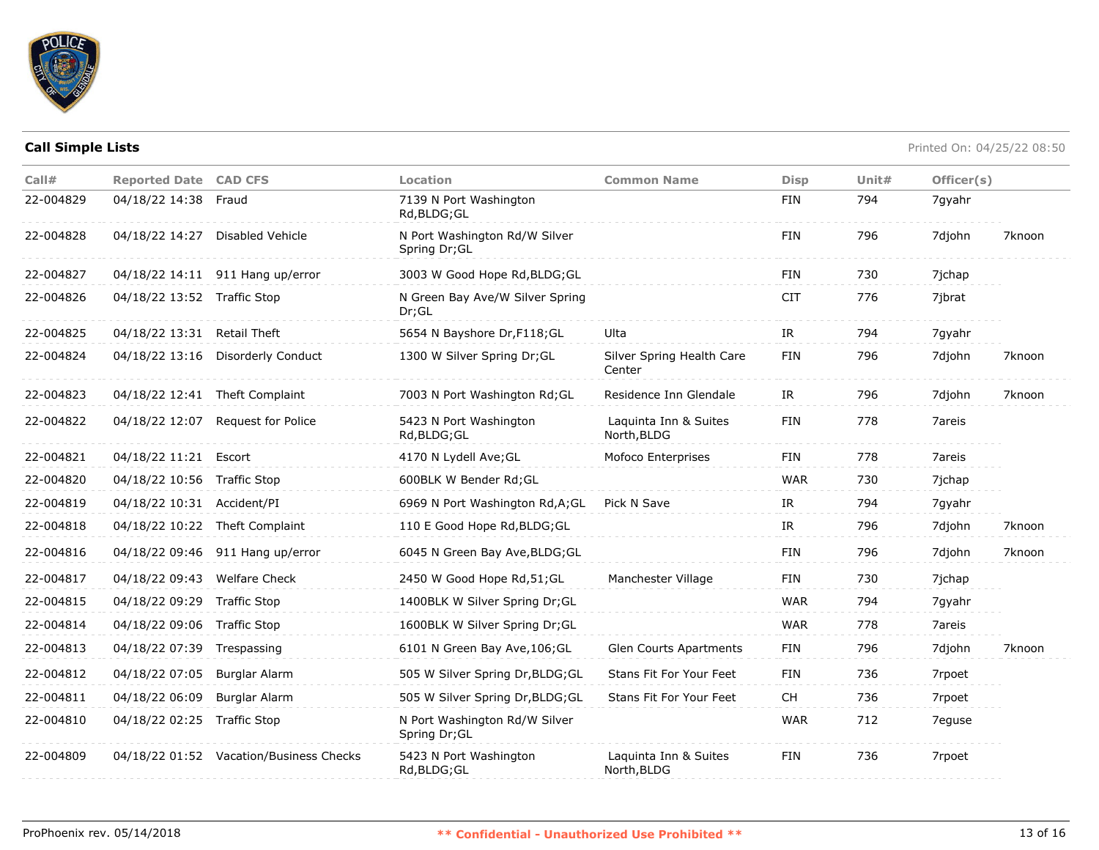

| Call#     | <b>Reported Date CAD CFS</b> |                                         | Location                                       | <b>Common Name</b>                   | <b>Disp</b> | Unit# | Officer(s) |        |
|-----------|------------------------------|-----------------------------------------|------------------------------------------------|--------------------------------------|-------------|-------|------------|--------|
| 22-004829 | 04/18/22 14:38 Fraud         |                                         | 7139 N Port Washington<br>Rd, BLDG; GL         |                                      | FIN         | 794   | 7gyahr     |        |
| 22-004828 |                              | 04/18/22 14:27 Disabled Vehicle         | N Port Washington Rd/W Silver<br>Spring Dr; GL |                                      | <b>FIN</b>  | 796   | 7djohn     | 7knoon |
| 22-004827 |                              | 04/18/22 14:11 911 Hang up/error        | 3003 W Good Hope Rd, BLDG; GL                  |                                      | FIN         | 730   | 7jchap     |        |
| 22-004826 | 04/18/22 13:52 Traffic Stop  |                                         | N Green Bay Ave/W Silver Spring<br>Dr;GL       |                                      | <b>CIT</b>  | 776   | 7jbrat     |        |
| 22-004825 | 04/18/22 13:31 Retail Theft  |                                         | 5654 N Bayshore Dr, F118; GL                   | Ulta                                 | IR          | 794   | 7gyahr     |        |
| 22-004824 |                              | 04/18/22 13:16 Disorderly Conduct       | 1300 W Silver Spring Dr; GL                    | Silver Spring Health Care<br>Center  | FIN         | 796   | 7djohn     | 7knoon |
| 22-004823 |                              | 04/18/22 12:41 Theft Complaint          | 7003 N Port Washington Rd; GL                  | Residence Inn Glendale               | IR          | 796   | 7djohn     | 7knoon |
| 22-004822 |                              | 04/18/22 12:07 Request for Police       | 5423 N Port Washington<br>Rd, BLDG; GL         | Laquinta Inn & Suites<br>North, BLDG | <b>FIN</b>  | 778   | 7areis     |        |
| 22-004821 | 04/18/22 11:21 Escort        |                                         | 4170 N Lydell Ave; GL                          | Mofoco Enterprises                   | <b>FIN</b>  | 778   | 7areis     |        |
| 22-004820 | 04/18/22 10:56 Traffic Stop  |                                         | 600BLK W Bender Rd;GL                          |                                      | <b>WAR</b>  | 730   | 7jchap     |        |
| 22-004819 | 04/18/22 10:31 Accident/PI   |                                         | 6969 N Port Washington Rd, A; GL               | Pick N Save                          | IR          | 794   | 7gyahr     |        |
| 22-004818 |                              | 04/18/22 10:22 Theft Complaint          | 110 E Good Hope Rd, BLDG; GL                   |                                      | IR          | 796   | 7djohn     | 7knoon |
| 22-004816 |                              | 04/18/22 09:46 911 Hang up/error        | 6045 N Green Bay Ave, BLDG; GL                 |                                      | <b>FIN</b>  | 796   | 7djohn     | 7knoon |
| 22-004817 | 04/18/22 09:43 Welfare Check |                                         | 2450 W Good Hope Rd, 51; GL                    | Manchester Village                   | <b>FIN</b>  | 730   | 7jchap     |        |
| 22-004815 | 04/18/22 09:29 Traffic Stop  |                                         | 1400BLK W Silver Spring Dr;GL                  |                                      | <b>WAR</b>  | 794   | 7gyahr     |        |
| 22-004814 | 04/18/22 09:06 Traffic Stop  |                                         | 1600BLK W Silver Spring Dr; GL                 |                                      | <b>WAR</b>  | 778   | 7areis     |        |
| 22-004813 | 04/18/22 07:39 Trespassing   |                                         | 6101 N Green Bay Ave, 106; GL                  | <b>Glen Courts Apartments</b>        | FIN         | 796   | 7djohn     | 7knoon |
| 22-004812 | 04/18/22 07:05               | Burglar Alarm                           | 505 W Silver Spring Dr, BLDG; GL               | Stans Fit For Your Feet              | FIN         | 736   | 7rpoet     |        |
| 22-004811 | 04/18/22 06:09               | Burglar Alarm                           | 505 W Silver Spring Dr, BLDG; GL               | Stans Fit For Your Feet              | <b>CH</b>   | 736   | 7rpoet     |        |
| 22-004810 | 04/18/22 02:25 Traffic Stop  |                                         | N Port Washington Rd/W Silver<br>Spring Dr; GL |                                      | <b>WAR</b>  | 712   | 7eguse     |        |
| 22-004809 |                              | 04/18/22 01:52 Vacation/Business Checks | 5423 N Port Washington<br>Rd,BLDG;GL           | Laquinta Inn & Suites<br>North, BLDG | FIN         | 736   | 7rpoet     |        |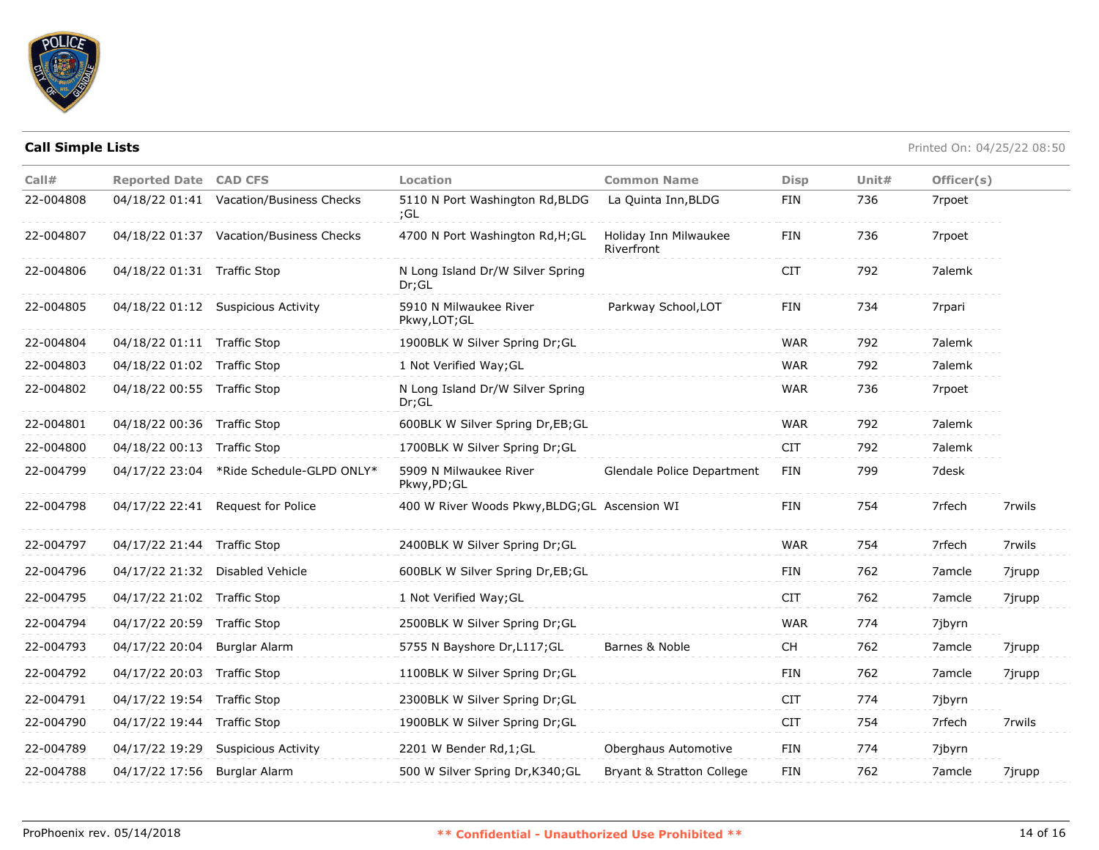

| Call#     | <b>Reported Date CAD CFS</b> |                                          | Location                                      | <b>Common Name</b>                  | <b>Disp</b> | Unit $#$ | Officer(s) |        |
|-----------|------------------------------|------------------------------------------|-----------------------------------------------|-------------------------------------|-------------|----------|------------|--------|
| 22-004808 |                              | 04/18/22 01:41 Vacation/Business Checks  | 5110 N Port Washington Rd, BLDG<br>;GL        | La Quinta Inn, BLDG                 | <b>FIN</b>  | 736      | 7rpoet     |        |
| 22-004807 |                              | 04/18/22 01:37 Vacation/Business Checks  | 4700 N Port Washington Rd, H; GL              | Holiday Inn Milwaukee<br>Riverfront | <b>FIN</b>  | 736      | 7rpoet     |        |
| 22-004806 | 04/18/22 01:31 Traffic Stop  |                                          | N Long Island Dr/W Silver Spring<br>Dr:GL     |                                     | <b>CIT</b>  | 792      | 7alemk     |        |
| 22-004805 |                              | 04/18/22 01:12 Suspicious Activity       | 5910 N Milwaukee River<br>Pkwy, LOT; GL       | Parkway School, LOT                 | <b>FIN</b>  | 734      | 7rpari     |        |
| 22-004804 | 04/18/22 01:11 Traffic Stop  |                                          | 1900BLK W Silver Spring Dr;GL                 |                                     | <b>WAR</b>  | 792      | 7alemk     |        |
| 22-004803 | 04/18/22 01:02 Traffic Stop  |                                          | 1 Not Verified Way; GL                        |                                     | <b>WAR</b>  | 792      | 7alemk     |        |
| 22-004802 | 04/18/22 00:55 Traffic Stop  |                                          | N Long Island Dr/W Silver Spring<br>Dr;GL     |                                     | <b>WAR</b>  | 736      | 7rpoet     |        |
| 22-004801 | 04/18/22 00:36 Traffic Stop  |                                          | 600BLK W Silver Spring Dr, EB; GL             |                                     | <b>WAR</b>  | 792      | 7alemk     |        |
| 22-004800 | 04/18/22 00:13 Traffic Stop  |                                          | 1700BLK W Silver Spring Dr;GL                 |                                     | <b>CIT</b>  | 792      | 7alemk     |        |
| 22-004799 |                              | 04/17/22 23:04 *Ride Schedule-GLPD ONLY* | 5909 N Milwaukee River<br>Pkwy,PD;GL          | Glendale Police Department          | <b>FIN</b>  | 799      | 7desk      |        |
| 22-004798 |                              | 04/17/22 22:41 Request for Police        | 400 W River Woods Pkwy, BLDG; GL Ascension WI |                                     | <b>FIN</b>  | 754      | 7rfech     | 7rwils |
| 22-004797 | 04/17/22 21:44 Traffic Stop  |                                          | 2400BLK W Silver Spring Dr;GL                 |                                     | <b>WAR</b>  | 754      | 7rfech     | 7rwils |
| 22-004796 |                              | 04/17/22 21:32 Disabled Vehicle          | 600BLK W Silver Spring Dr,EB;GL               |                                     | <b>FIN</b>  | 762      | 7amcle     | 7jrupp |
| 22-004795 | 04/17/22 21:02 Traffic Stop  |                                          | 1 Not Verified Way; GL                        |                                     | <b>CIT</b>  | 762      | 7amcle     | 7jrupp |
| 22-004794 | 04/17/22 20:59               | <b>Traffic Stop</b>                      | 2500BLK W Silver Spring Dr;GL                 |                                     | <b>WAR</b>  | 774      | 7jbyrn     |        |
| 22-004793 | 04/17/22 20:04               | Burglar Alarm                            | 5755 N Bayshore Dr, L117; GL                  | Barnes & Noble                      | <b>CH</b>   | 762      | 7amcle     | 7jrupp |
| 22-004792 | 04/17/22 20:03               | <b>Traffic Stop</b>                      | 1100BLK W Silver Spring Dr; GL                |                                     | <b>FIN</b>  | 762      | 7amcle     | 7jrupp |
| 22-004791 | 04/17/22 19:54               | <b>Traffic Stop</b>                      | 2300BLK W Silver Spring Dr; GL                |                                     | <b>CIT</b>  | 774      | 7jbyrn     |        |
| 22-004790 | 04/17/22 19:44 Traffic Stop  |                                          | 1900BLK W Silver Spring Dr;GL                 |                                     | <b>CIT</b>  | 754      | 7rfech     | 7rwils |
| 22-004789 | 04/17/22 19:29               | <b>Suspicious Activity</b>               | 2201 W Bender Rd, 1; GL                       | Oberghaus Automotive                | <b>FIN</b>  | 774      | 7jbyrn     |        |
| 22-004788 | 04/17/22 17:56               | Burglar Alarm                            | 500 W Silver Spring Dr, K340; GL              | Bryant & Stratton College           | <b>FIN</b>  | 762      | 7amcle     | 7jrupp |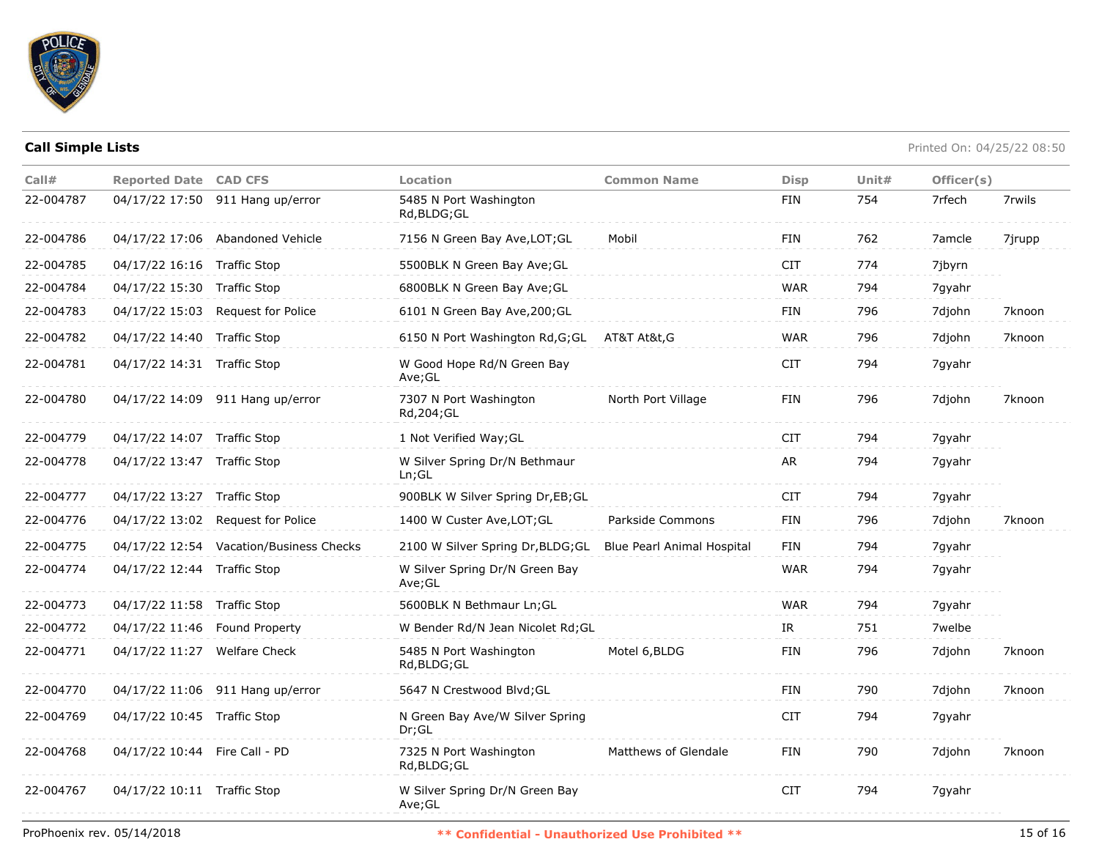

| Call#     | <b>Reported Date CAD CFS</b>  |                                         | <b>Location</b>                               | <b>Common Name</b>         | <b>Disp</b> | Unit $#$ | Officer(s) |        |
|-----------|-------------------------------|-----------------------------------------|-----------------------------------------------|----------------------------|-------------|----------|------------|--------|
| 22-004787 |                               | 04/17/22 17:50 911 Hang up/error        | 5485 N Port Washington<br>Rd, BLDG; GL        |                            | <b>FIN</b>  | 754      | 7rfech     | 7rwils |
| 22-004786 |                               | 04/17/22 17:06 Abandoned Vehicle        | 7156 N Green Bay Ave, LOT; GL                 | Mobil                      | <b>FIN</b>  | 762      | 7amcle     | 7jrupp |
| 22-004785 | 04/17/22 16:16 Traffic Stop   |                                         | 5500BLK N Green Bay Ave; GL                   |                            | <b>CIT</b>  | 774      | 7jbyrn     |        |
| 22-004784 | 04/17/22 15:30 Traffic Stop   |                                         | 6800BLK N Green Bay Ave; GL                   |                            | <b>WAR</b>  | 794      | 7gyahr     |        |
| 22-004783 |                               | 04/17/22 15:03 Request for Police       | 6101 N Green Bay Ave, 200; GL                 |                            | FIN         | 796      | 7djohn     | 7knoon |
| 22-004782 | 04/17/22 14:40 Traffic Stop   |                                         | 6150 N Port Washington Rd, G; GL AT&T At&t, G |                            | <b>WAR</b>  | 796      | 7djohn     | 7knoon |
| 22-004781 | 04/17/22 14:31 Traffic Stop   |                                         | W Good Hope Rd/N Green Bay<br>Ave;GL          |                            | <b>CIT</b>  | 794      | 7gyahr     |        |
| 22-004780 |                               | 04/17/22 14:09 911 Hang up/error        | 7307 N Port Washington<br>Rd, 204; GL         | North Port Village         | FIN         | 796      | 7djohn     | 7knoon |
| 22-004779 | 04/17/22 14:07 Traffic Stop   |                                         | 1 Not Verified Way; GL                        |                            | <b>CIT</b>  | 794      | 7 qyahr    |        |
| 22-004778 | 04/17/22 13:47 Traffic Stop   |                                         | W Silver Spring Dr/N Bethmaur<br>Ln; GL       |                            | AR          | 794      | 7gyahr     |        |
| 22-004777 | 04/17/22 13:27 Traffic Stop   |                                         | 900BLK W Silver Spring Dr, EB; GL             |                            | <b>CIT</b>  | 794      | 7gyahr     |        |
| 22-004776 |                               | 04/17/22 13:02 Request for Police       | 1400 W Custer Ave, LOT; GL                    | Parkside Commons           | FIN         | 796      | 7djohn     | 7knoon |
| 22-004775 |                               | 04/17/22 12:54 Vacation/Business Checks | 2100 W Silver Spring Dr, BLDG; GL             | Blue Pearl Animal Hospital | FIN         | 794      | 7gyahr     |        |
| 22-004774 | 04/17/22 12:44 Traffic Stop   |                                         | W Silver Spring Dr/N Green Bay<br>Ave;GL      |                            | <b>WAR</b>  | 794      | 7gyahr     |        |
| 22-004773 | 04/17/22 11:58 Traffic Stop   |                                         | 5600BLK N Bethmaur Ln;GL                      |                            | <b>WAR</b>  | 794      | 7gyahr     |        |
| 22-004772 | 04/17/22 11:46 Found Property |                                         | W Bender Rd/N Jean Nicolet Rd; GL             |                            | IR          | 751      | 7welbe     |        |
| 22-004771 | 04/17/22 11:27 Welfare Check  |                                         | 5485 N Port Washington<br>Rd, BLDG; GL        | Motel 6, BLDG              | FIN         | 796      | 7djohn     | 7knoon |
| 22-004770 |                               | 04/17/22 11:06 911 Hang up/error        | 5647 N Crestwood Blvd; GL                     |                            | <b>FIN</b>  | 790      | 7djohn     | 7knoon |
| 22-004769 | 04/17/22 10:45 Traffic Stop   |                                         | N Green Bay Ave/W Silver Spring<br>Dr:GL      |                            | <b>CIT</b>  | 794      | 7gyahr     |        |
| 22-004768 | 04/17/22 10:44 Fire Call - PD |                                         | 7325 N Port Washington<br>Rd, BLDG; GL        | Matthews of Glendale       | FIN         | 790      | 7djohn     | 7knoon |
| 22-004767 | 04/17/22 10:11 Traffic Stop   |                                         | W Silver Spring Dr/N Green Bay<br>Ave;GL      |                            | <b>CIT</b>  | 794      | 7gyahr     |        |